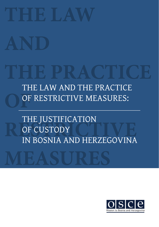# THE LAW AND THE PRACTICE OF RESTRICTIVE MEASURES:

THE JUSTIFICATION OF CUSTODY IN BOSNIA AND HERZEGOVINA

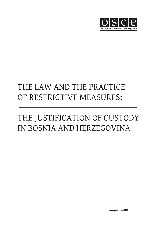

# THE LAW AND THE PRACTICE OF RESTRICTIVE MEASURES:

# THE JUSTIFICATION OF CUSTODY IN BOSNIA AND HERZEGOVINA

*August 2008*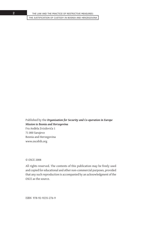THE JUSTIFICATION OF CUSTODY IN BOSNIA AND HERZEGOVINA

Published by the *Organisation for Security and Co-operation in Europe Mission to Bosnia and Herzegovina* Fra Anđela Zvizdovića 1 71 000 Sarajevo Bosnia and Herzegovina www.oscebih.org

#### © OSCE 2008

All rights reserved. The contents of this publication may be freely used and copied for educational and other non-commercial purposes, provided that any such reproduction is accompanied by an acknowledgment of the OSCE as the source.

ISBN 978-92-9235-276-9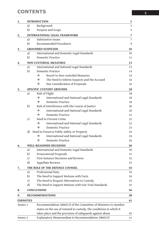## **CONTENTS**

| 1.      |                                      | <b>INTRODUCTION</b>                                                | 5  |
|---------|--------------------------------------|--------------------------------------------------------------------|----|
|         | a)                                   | Background                                                         | 5  |
|         | b)                                   | Purpose and Scope                                                  | 5  |
| 2.      | <b>INTERNATIONAL LEGAL FRAMEWORK</b> |                                                                    | 7  |
|         | a)                                   | Substantive Issues                                                 | 7  |
|         | b)                                   | Recommended Procedures                                             | 9  |
| 3.      | <b>GROUNDED SUSPICION</b>            |                                                                    | 10 |
|         | a)                                   | International and Domestic Legal Standards                         | 10 |
|         | b)                                   | Domestic Practice                                                  | 11 |
| 4.      | <b>NON CUSTODIAL MEASURES</b>        |                                                                    | 13 |
|         | a)                                   | International and National Legal Standards                         | 13 |
|         | b)                                   | Domestic Practice                                                  | 14 |
|         |                                      | $\rightarrow$<br>Resort to Non-custodial Measures                  | 14 |
|         |                                      | $\rightarrow$<br>The Need to Inform Suspects and the Accused       | 16 |
|         |                                      | $\rightarrow$<br>Due Consideration of Proposals                    | 16 |
| 5.      |                                      | SPECIFIC CUSTODY GROUNDS                                           | 18 |
|         | a)                                   | Risk of Flight                                                     | 18 |
|         |                                      | $\rightarrow$<br>International and National Legal Standards        | 18 |
|         |                                      | $\rightarrow$<br><b>Domestic Practice</b>                          | 18 |
|         | b)                                   | Risk of Interference with the Course of Justice                    | 20 |
|         |                                      | →<br>International and National Legal Standards                    | 20 |
|         |                                      | $\rightarrow$<br>Domestic Practice                                 | 21 |
|         | c)                                   | Need to Prevent Crime                                              | 22 |
|         |                                      | $\rightarrow$<br>International and National Legal Standards        | 22 |
|         |                                      | $\rightarrow$<br>Domestic Practice                                 | 23 |
|         | d)                                   | Need to Preserve Public Safety or Property                         | 24 |
|         |                                      | →<br>International and National Legal Standards                    | 24 |
|         |                                      | $\rightarrow$<br>Domestic Practice                                 | 26 |
| 6.      |                                      | <b>WELL-REASONED DECISIONS</b>                                     | 30 |
|         | a)                                   | International and Domestic Legal Standards                         | 30 |
|         | b)                                   | Prosecutorial Proposals                                            | 31 |
|         | $\mathbf{c}$                         | First Instance Decisions and Reviews                               | 32 |
|         | d)                                   | Appellate Reviews                                                  | 33 |
| 7.      | THE ROLE OF THE DEFENCE COUNSEL      |                                                                    | 34 |
|         | a)                                   | Professional Duty                                                  | 34 |
|         | b)                                   | The Need to Support Motions with Facts                             | 34 |
|         | $\mathbf{c}$                         | The Need to Request Alternatives to Custody                        | 35 |
|         | d)                                   | The Need to Support Motions with Fair Trial Standards              | 35 |
| 8.      |                                      | <b>CONCLUSIONS</b>                                                 | 36 |
| 9.      |                                      | <b>RECOMMENDATIONS</b>                                             | 38 |
|         | <b>ENDNOTES</b>                      |                                                                    | 41 |
| Annex 1 |                                      | Recommendation 2006(13) of the Committee of Ministers to member    |    |
|         |                                      | states on the use of remand in custody, the conditions in which it |    |
|         |                                      | takes place and the provision of safeguards against abuse          | 45 |
| Annex 2 |                                      | Explanatory Memorandum to Recommendation 2006(13)                  | 57 |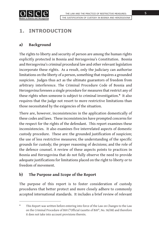

# **1. INTRODUCTION**

#### **a) Background**

The rights to liberty and security of person are among the human rights explicitly protected in Bosnia and Herzegovina's Constitution. Bosnia and Herzegovina's criminal procedural law and other relevant legislation incorporate these rights. As a result, only the judiciary can authorise limitations on the liberty of a person, something that requires a grounded suspicion. Judges thus act as the ultimate guarantors of freedom from arbitrary interference. The Criminal Procedure Code of Bosnia and Herzegovina foresees a single procedure for measures that restrict any of these rights when someone is subject to criminal investigation.\* It also requires that the judge not resort to more restrictive limitations than those necessitated by the exigencies of the situation.

There are, however, inconsistencies in the application domestically of these codes and laws. These inconsistencies have prompted concernsfor the respect for the rights of the defendant. This report examines these inconsistencies. It also examines five interrelated aspects of domestic custody procedure. These are: the grounded justification of suspicion; the use of less restrictive measures; the understanding of the specific grounds for custody; the proper reasoning of decisions; and the role of the defence counsel. A review of these aspects points to practices in Bosnia and Herzegovina that do not fully observe the need to provide adequate justifications for limitations placed on the right to liberty or to freedom of movement.

#### **b) The Purpose and Scope of the Report**

The purpose of this report is to foster consideration of custody procedures that better protect and more closely adhere to commonly accepted international standards. It includes a brief review of relevant

This Report was written before entering into force of the Law on Changes to the Law on the Criminal Procedure of BiH ("Official Gazette of BiH", No. 58/08) and therefore it does not take into account provisions therein.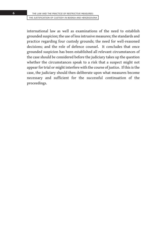international law as well as examinations of the need to establish grounded suspicion; the use of lessintrusive measures; the standards and practice regarding four custody grounds; the need for well-reasoned decisions; and the role of defence counsel. It concludes that once grounded suspicion has been established all relevant circumstances of the case should be considered before the judiciary takes up the question whether the circumstances speak to a risk that a suspect might not appear for trial or might interfere with the course of justice. If this is the case, the judiciary should then deliberate upon what measures become necessary and sufficient for the successful continuation of the proceedings.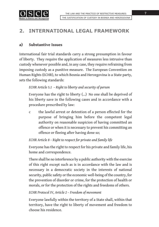

# **2. INTERNATIONAL LEGAL FRAMEWORK**

#### **a) Substantive Issues**

International fair trial standards carry a strong presumption in favour of liberty. They require the application of measures less intrusive than custody whenever possible and, in any case, they require refraining from imposing custody as a punitive measure. The European Convention on Human Rights (ECHR), to which Bosnia and Herzegovina is a State party, sets the following standards:

*ECHR Article 5.1 – Right to liberty and security of person*

Everyone has the right to liberty (...) No one shall be deprived of his liberty save in the following cases and in accordance with a procedure prescribed by law:

c the lawful arrest or detention of a person effected for the purpose of bringing him before the competent legal authority on reasonable suspicion of having committed an offence or when it is necessary to prevent his committing an offence or fleeing after having done so;

*ECHR Article 8 – Right to respect for private and family life*

Everyone has the right to respect for his private and family life, his home and correspondence.

There shall be no interference by a public authority with the exercise of this right except such as is in accordance with the law and is necessary in a democratic society in the interests of national security, public safety or the economic well-being of the country, for the prevention of disorder or crime, for the protection of health or morals, or for the protection of the rights and freedoms of others.

*ECHR Protocol IV, Article 2 – Freedom of movement*

Everyone lawfully within the territory of a State shall, within that territory, have the right to liberty of movement and freedom to choose his residence.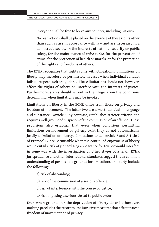Everyone shall be free to leave any country, including his own.

No restrictions shall be placed on the exercise of these rights other than such as are in accordance with law and are necessary in a democratic society in the interests of national security or public safety, for the maintenance of *ordre public*, for the prevention of crime, for the protection of health or morals, or for the protection of the rights and freedoms of others.

The ECHR recognizes that rights come with obligations. Limitations on liberty may therefore be permissible in cases when individual conduct fails to respect such obligations. These limitations should not, however, affect the rights of others or interfere with the interests of justice. Furthermore, states should set out in their legislation the conditions determining when limitations may be invoked.

Limitations on liberty in the ECHR differ from those on privacy and freedom of movement. The latter two are almost identical in language and substance. Article 5, by contrast, establishes stricter criteria and requires well-grounded suspicion of the commission of an offence. These provisions also establish that even when conditions permitting limitations on movement or privacy exist they do not automatically justify a limitation on liberty. Limitations under Article 8 and Article 2 of Protocol IV are permissible when the continued enjoyment of liberty would entail a risk of jeopardising appearance for trial or would interfere in some way with the investigation or other stages of a trial. ECHR jurisprudence and other international standards suggest that a common understanding of permissible grounds for limitations on liberty include the following:

- a) risk of absconding;
- b) risk of the commission of a serious offence;
- c) risk of interference with the course of justice;
- d) risk of posing a serious threat to public order.

Even when grounds for the deprivation of liberty do exist, however, nothing precludes the resort to less intrusive measures that affect instead freedom of movement or of privacy.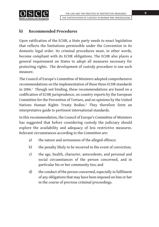

#### **b) Recommended Procedures**

Upon ratification of the ECHR, a State party needs to enact legislation that reflects the limitations permissible under the Convention in its domestic legal order. Its criminal procedures must, in other words, become compliant with its ECHR obligations. The ECHR also places a general requirement on States to adopt all measures necessary for protecting rights. The development of custody procedure is one such measure.

The Council of Europe's Committee of Ministers adopted comprehensive recommendations on the implementation of these three ECHR standards in 2006. <sup>1</sup> Though not binding, these recommendations are based on a codification of ECHR jurisprudence, on country reports by the European Committee for the Prevention of Torture, and on opinions by the United Nations Human Rights Treaty Bodies. <sup>2</sup> They therefore form an interpretative guide to pertinent international standards.

In this recommendation, the Council of Europe's Committee of Ministers has suggested that before considering custody the judiciary should explore the availability and adequacy of less restrictive measures. Relevant circumstances according to the Committee are:

- a) the nature and seriousness of the alleged offence;
- b) the penalty likely to be incurred in the event of conviction;
- c) the age, health, character, antecedents, and personal and social circumstances of the person concerned, and in particular his or her community ties; and
- d) the conduct of the person concerned, especially in fulfilment of any obligations that may have been imposed on him or her in the course of previous criminal proceedings.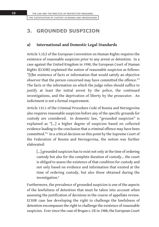# **3. GROUNDED SUSPICION**

#### **a) International and Domestic Legal Standards**

Article 5.1(c) of the European Convention on Human Rights requires the existence of reasonable suspicion prior to any arrest or detention. In a case against the United Kingdom in 1990, the European Court of Human Rights (ECtHR) explained the notion of reasonable suspicion as follows: "[t]he existence of facts or information that would satisfy an objective observer that the person concerned may have committed the offence."3 The facts or the information on which the judge relies should suffice to justify at least the initial arrest by the police, the continued investigations, and the deprivation of liberty by the prosecutor. An indictment is not a formal requirement.

Article 132.1 of the Criminal Procedure Code of Bosnia and Herzegovina also requires reasonable suspicion before any of the specific grounds for custody are considered. In domestic law, "grounded suspicion" is explained as "[…] a higher degree of suspicion based on collected evidence leading to the conclusion that a criminal offence may have been committed."4 In a critical decision on this point by the Supreme Court of the Federation of Bosnia and Herzegovina, the notion was further elaborated:

[...] grounded suspicion has to exist not only at the time of ordering custody but also for the complete duration of custody… the court is obliged to assess the existence of that condition for custody and not only based on evidence and information that existed at the time of ordering custody, but also those obtained during the investigation. 5

Furthermore, the prevalence of grounded suspicion is one of the aspects of the lawfulness of detention that must be taken into account when assessing the justification of decisions in the course of appellate review. ECtHR case law developing the right to challenge the lawfulness of detention encompasses the right to challenge the existence of reasonable suspicion. Ever since the case of *Brogan v. UK* in 1988, the European Court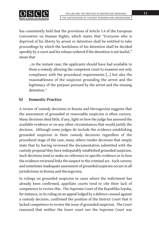

has consistently held that the provisions of Article 5.4 of the European Convention on Human Rights, which states that "Everyone who is deprived of his liberty by arrest or detention shall be entitled to take proceedings by which the lawfulness of his detention shall be decided speedily by a court and his release ordered if the detention is not lawful," mean that

…in the instant case, the applicants should have had available to them a remedy allowing the competent court to examine not only compliance with the procedural requirements […] but also the reasonableness of the suspicion grounding the arrest and the legitimacy of the purpose pursued by the arrest and the ensuing detention.<sup>6</sup>

#### **b) Domestic Practice**

A review of custody decisions in Bosnia and Herzegovina suggests that the assessment of grounded or reasonable suspicion is often cursory. Many decisions shed little, if any, light on how the judge has assessed the available evidence or on any other circumstances that would justify the decision. Although some judges do include the evidence establishing grounded suspicion in their custody decisions regardless of the procedural stage of the case, many others render decisions that simply state that by having reviewed the documentation submitted with the custody proposal they have indisputably established grounded suspicion. Such decisions tend to make no reference to specific evidence or to how the evidence reviewed links the suspect to the criminal act. Such cursory and sometimes inadequate assessment of grounded suspicion occurs in all jurisdictions in Bosnia and Herzegovina.

In rulings on grounded suspicion in cases where the indictment has already been confirmed, appellate courts tend to cite their lack of competence to review this. The Supreme Court of the Republika Srpska, for instance, in its ruling on an appeal lodged by a defence counsel against a custody decision, confirmed the position of the District Court that it lacked competence to review the issue of grounded suspicion. The Court reasoned that neither the lower court nor the Supreme Court was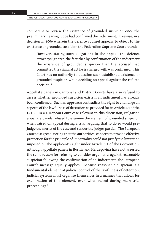competent to review the existence of grounded suspicion once the preliminary hearing judge had confirmed the indictment. Likewise, in a decision in 2006 wherein the defence counsel appears to object to the existence of grounded suspicion the Federation Supreme Court found:

However, stating such allegations in the appeal, the defence attorneys ignored the fact that by confirmation of the indictment the existence of grounded suspicion that the accused had committed the criminal act he is charged with was confirmed. This Court has no authority to question such established existence of grounded suspicion while deciding on appeal against the refuted decision.<sup>7</sup>

Appellate panels in Cantonal and District Courts have also refused to assess whether grounded suspicion exists if an indictment has already been confirmed. Such an approach contradicts the right to challenge all aspects of the lawfulness of detention as provided for in Article 5.4 of the ECHR. In a European Court case relevant to this discussion, Bulgarian appellate panels refused to examine the element of grounded suspicion when raised on appeal during a trial, arguing that to do so would prejudge the merits of the case and render the judges partial. The European Court disagreed, noting that the authorities' concern to provide effective protection for the principle of impartiality could not justify the limitation imposed on the applicant's right under Article 5.4 of the Convention. Although appellate panels in Bosnia and Herzegovina have not asserted the same reason for refusing to consider arguments against reasonable suspicion following the confirmation of an indictment, the European Court's message equally applies. Because reasonable suspicion is a fundamental element of judicial control of the lawfulness of detention, judicial systems must organise themselves in a manner that allows for examination of this element, even when raised during main trial proceedings. 8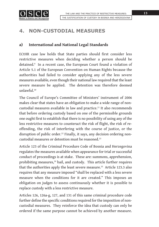

## **4. NON-CUSTODIAL MEASURES**

#### **a) International and National Legal Standards**

ECtHR case law holds that State parties should first consider less restrictive measures when deciding whether a person should be detained. <sup>9</sup> In a recent case, the European Court found a violation of Article 5.1 of the European Convention on Human Rights because the authorities had failed to consider applying any of the less severe measures available, even though their national law required that the least severe measure be applied. The detention was therefore deemed unlawful. 10

The Council of Europe's Committee of Ministers' instrument of 2006 makes clear that states have an obligation to make a wide range of noncustodial measures available in law and practice. <sup>11</sup> It also recommends that before ordering custody based on one of the permissible grounds one ought first to establish that there is no possibility of using any of the less restrictive measures to counteract the risk of flight, the risk of reoffending, the risk of interfering with the course of justice, or the disruption of public order. <sup>12</sup> Finally, it says, any decision ordering noncustodial measures or detention must be reasoned. 13

Article 123 of the Criminal Procedure Code of Bosnia and Herzegovina regulates the measures available when appearance for trial or successful conduct of proceedings is at stake. These are: summons, apprehension, prohibiting measures, <sup>14</sup> bail, and custody. This article further requires that the authorities apply the least severe measure. <sup>15</sup> Article 123.3 also requires that any measure imposed "shall be replaced with a less severe measure when the conditions for it are created." This imposes an obligation on judges to assess continuously whether it is possible to replace custody with a less restrictive measure.

Articles 126, 126a-g, 127, and 131 of this same criminal procedure code further define the specific conditions required for the imposition of noncustodial measures. They reinforce the idea that custody can only be ordered if the same purpose cannot be achieved by another measure.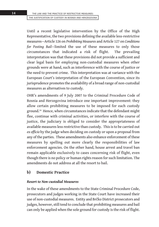Until a recent legislative intervention by the Office of the High Representative, the two provisions defining the available less-restrictive measures—Article 126 on *Prohibiting Measures* and Article 127 on *Conditions for Posting Bail*—limited the use of these measures to only those circumstances that indicated a risk of flight. The prevailing interpretation was that these provisions did not provide a sufficient and clear legal basis for employing non-custodial measures when other grounds were at hand, such as interference with the course of justice or the need to prevent crime. This interpretation was at variance with the European Court's interpretation of the European Convention, since its jurisprudence promotes the availability of a broad range of non-custodial measures as alternatives to custody.

OHR's amendments of 9 July 2007 to the Criminal Procedure Code of Bosnia and Herzegovina introduce one important improvement: they allow certain prohibiting measures to be imposed for each custody ground. <sup>16</sup> Hence, when circumstances indicate that the defendant might flee, continue with criminal activities, or interfere with the course of justice, the judiciary is obliged to consider the appropriateness of available measures less restrictive than custody. This is to be carried out *ex officio* by the judge when deciding on custody or upon a proposal from any of the parties. These amendments also enhance enforcement of these measures by spelling out more clearly the responsibilities of law enforcement agencies. On the other hand, house arrest and travel ban remain applicable exclusively to cases concerning risk of flight, even though there is no policy or human rights reason for such limitation. The amendments do not address at all the resort to bail.

#### **b) Domestic Practice**

#### *Resort to Non-custodial Measures*

In the wake of these amendments to the State Criminal Procedure Code, prosecutors and judges working in the State Court have increased their use of non-custodial measures. Entity and Brčko District prosecutors and judges, however, still tend to conclude that prohibiting measures and bail can only be applied when the sole ground for custody is the risk of flight.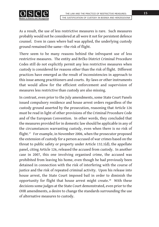

As a result, the use of less restrictive measures is rare. Such measures probably would not be considered at all were it not for persistent defence counsel. Even in cases where bail was applied, the underlying custody ground remained the same—the risk of flight.

There seem to be many reasons behind the infrequent use of less restrictive measures. The entity and Brčko District Criminal Procedure Codes still do not explicitly permit any less restrictive measures when custody is considered for reasons other than the risk of flight. Different practices have emerged as the result of inconsistencies in approach to this issue among practitioners and courts. By-laws or other instruments that would allow for the efficient enforcement and supervision of measures less restrictive than custody are also missing.

In contrast, even prior to the July amendments, some State Court Panels issued compulsory residence and house arrest orders regardless of the custody ground asserted by the prosecution, reasoning that Article 126 must be read in light of other provisions of the Criminal Procedure Code and of the European Convention. In other words, they concluded that the measures provided for in domestic law should be applicable in any of the circumstances warranting custody, even when there is no risk of flight. <sup>17</sup> For example, in November 2006, when the prosecutor proposed the extension of custody for a person accused of war crimes based on the threat to public safety or property under Article 132.1(d), the appellate panel, citing Article 126, released the accused from custody. In another case in 2007, this one involving organised crime, the accused was prohibited from leaving his home, even though he had previously been detained in connection with the risk of interfering with the course of justice and the risk of repeated criminal activity. Upon his release into house arrest, the State Court imposed bail in order to diminish the opportunity for flight that house arrest might create. <sup>18</sup> With these decisions some judges at the State Court demonstrated, even prior to the OHR amendments, a desire to change the standards surrounding the use of alternative measures to custody.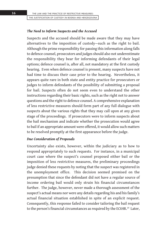#### *The Need to Inform Suspects and the Accused*

Suspects and the accused should be made aware that they may have alternatives to the imposition of custody—such as the right to bail. Although the prime responsibility for passing this information along falls to defence counsel, prosecutors and judges should also not underestimate the responsibility they bear for informing defendants of their legal options; defence counsel is, after all, not mandatory at the first custody hearing. Even when defence counsel is present, many suspects have not had time to discuss their case prior to the hearing. Nevertheless, it appears quite rare in both state and entity practice for prosecutors or judges to inform defendants of the possibility of submitting a proposal for bail. Suspects often do not seem even to understand the other instructions regarding their basic rights, such as the right not to answer questions and the right to defence counsel. A comprehensive explanation of less restrictive measures should form part of any full dialogue with suspects about the various rights that they may call upon at any given stage of the proceedings. If prosecutors were to inform suspects about the bail mechanism and indicate whether the prosecution would agree to bail if an appropriate amount were offered, it would allow such matters to be resolved promptly at the first appearance before the judge.

#### *Due Consideration of Proposals*

Uncertainty also exists, however, within the judiciary as to how to respond appropriately to such requests. For instance, in a municipal court case where the suspect's counsel proposed either bail or the imposition of less restrictive measures, the preliminary proceedings judge denied these requests by noting that the suspect was registered in the unemployment office. This decision seemed premised on the presumption that since the defendant did not have a regular source of income ordering bail would only strain his financial circumstances further. The judge, however, never made a thorough assessment of the suspect's actual means nor were any details regarding his and his family's actual financial situation established in spite of an explicit request. Consequently, this response failed to consider tailoring the bail request to the person's financial circumstances as required by the ECtHR.<sup>19</sup> Later,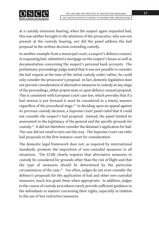

at a custody extension hearing, when the suspect again requested bail, this was neither brought to the attention of the prosecutor, who was not present at the custody hearing, nor did the panel address the bail proposal in the written decision extending custody.

In another example from a municipal court, a suspect's defence counsel, in requesting bail, submitted a mortgage on the suspect's house as well as documentation concerning the suspect's personal bank accounts. The preliminary proceedings judge stated that it was not possible to consider the bail request at the time of the initial custody order; rather, he could only consider the prosecutor's proposal. In fact, domestic legislation does not prevent consideration of alternative measures to custody at any stage of the proceedings, either *proprio motu* or upon defence counsel proposal. This is consistent with European Court case law, which provides that if a bail motion is put forward it must be considered in a timely manner regardless of the procedural stage. <sup>20</sup> In deciding upon an appeal against its previous custody decision, a Supreme Court panel ruled that it could not consider the suspect's bail proposal. Instead, the panel limited its assessment to the legitimacy of the general and the specific grounds for custody. <sup>21</sup> It did not therefore consider the detainee's application for bail. The case did not need to turn out this way. The Supreme Court can refer bail proposals to the first instance court for consideration.

The domestic legal framework does not, as required by international standards, promote the imposition of non-custodial measures in all situations. The ECHR clearly requires that alternative measures to custody be considered for grounds other than the risk of flight and that the type of measures should be determined by the particular circumstances of the case. $^{\scriptscriptstyle 22}$  Too often, judges do not even consider the defence's proposals for the application of bail and other non-custodial measures, much less grant them when appropriate. In addition, judges in the course of custody procedures rarely provide sufficient guidance to the defendants in matters concerning their rights, especially in relation to the use of less restrictive measures.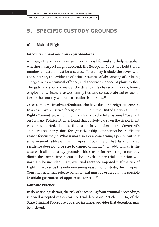# **5. SPECIFIC CUSTODY GROUNDS**

#### **a) Risk of Flight**

#### *International and National Legal Standards*

Although there is no precise international formula to help establish whether a suspect might abscond, the European Court has held that a number of factors must be assessed. These may include the severity of the sentence, the evidence of prior instances of absconding after being charged with a criminal offence, and specific evidence of plans to flee. The judiciary should consider the defendant's character, morals, home, employment, financial assets, family ties, and contacts abroad or lack of ties to the country where prosecution is pursued. 23

Cases sometime involve defendants who have dual or foreign citizenship. In a case involving two foreigners in Spain, the United Nation's Human Rights Committee, which monitors fealty to the International Covenant on Civil and Political Rights, found that custody based on the risk of flight was unsupported. It held this to be in violation of the Covenant's standards on liberty, since foreign citizenship alone cannot be a sufficient reason for custody. <sup>24</sup> What is more, in a case concerning a person without a permanent address, the European Court held that lack of fixed residence does not give rise to danger of flight. <sup>25</sup> In addition, as is the case with all of custody grounds, this reason for resorting to custody diminishes over time because the length of pre-trial detention will normally be included in any eventual sentence imposed. <sup>26</sup> If the risk of flight is invoked as the only remaining reason for custody, the European Court has held that release pending trial must be ordered if it is possible to obtain guarantees of appearance for trial. 27

#### *Domestic Practice*

In domestic legislation, the risk of absconding from criminal proceedings is a well-accepted reason for pre-trial detention. Article 132.1(a) of the State Criminal Procedure Code, for instance, provides that detention may be ordered: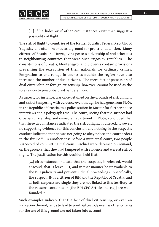

[...] if he hides or if other circumstances exist that suggest a possibility of flight.

The risk of flight to countries of the former Socialist Federal Republic of Yugoslavia is often invoked as a ground for pre-trial detention. Many citizens of Bosnia and Herzegovina possess citizenship of and other ties to neighbouring countries that were once Yugoslav republics. The constitutions of Croatia, Montenegro, and Slovenia contain provisions preventing the extradition of their nationals for ordinary crimes. Emigration to and refuge in countries outside the region have also increased the number of dual citizens. The mere fact of possession of dual citizenship or foreign citizenship, however, cannot be used as the sole reason to prescribe pre-trial detention.

A suspect, for instance, was once detained on the grounds of risk of flight and risk of tampering with evidence even though he had gone from Ploče, in the Republic of Croatia, to a police station in Mostar for further police interviews and a polygraph test. The court, noting that the suspect had Croatian citizenship and owned an apartment in Ploče, concluded that that these circumstances indicated the risk of flight. It offered, however, no supporting evidence for this conclusion and nothing in the suspect's conduct indicated that he was not going to obey police and court orders in the future. <sup>28</sup> In another case before a municipal court, two people suspected of committing malicious mischief were detained on remand, on the grounds that they had tampered with evidence and were at risk of flight. The justification for this decision held that:

[...] circumstances indicate that the suspects, if released, would abscond, that is leave BiH, and in that manner be unavailable to the BiH judiciary and prevent judicial proceedings. Specifically, the suspect NN is a citizen of BiH and the Republic of Croatia, and as both suspects are single they are not linked to this territory so the reasons contained in [the BiH CPC Article 132.1(a)] are wellfounded. 29

Such examples indicate that the fact of dual citizenship, or even an indication thereof, tends to lead to pre-trial custody even as other criteria for the use of this ground are not taken into account.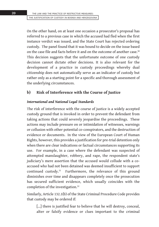On the other hand, on at least one occasion a prosecutor's proposal has referred to a previous case in which the accused had fled when the first instance verdict was issued, and the State Court has rejected ordering custody. The panel found that it was bound to decide on the issue based on the case file and facts before it and on the outcome of another case. 30 This decision suggests that the unfortunate outcome of one custody decision cannot dictate other decisions. It is also relevant for the development of a practice in custody proceedings whereby dual citizenship does not automatically serve as an indicator of custody but rather only as a starting point for a specific and thorough assessment of the underlying circumstances.

#### **b) Risk of Interference with the Course of Justice**

#### *International and National Legal Standards*

The risk of interference with the course of justice is a widely accepted custody ground that is invoked in order to prevent the defendant from taking actions that could severely jeopardise the proceedings. These actions may include pressure on or intimidation of witnesses, warnings or collusion with other potential co-conspirators, and the destruction of evidence or documents. In the view of the European Court of Human Rights, however, this provides a justification for pre-trial detention only when there are clear indications or factual circumstances supporting its use. For example, in a case where the defendant was suspected of attempted manslaughter, robbery, and rape, the respondent state's judiciary's mere assertion that the accused would collude with a coaccused who had not been detained was deemed insufficient to support continued custody. Furthermore, the relevance of this ground diminishes over time and disappears completely once the prosecution has secured sufficient evidence, which usually coincides with the completion of the investigation. 32

Similarly, Article 132.1(b) of the State Criminal Procedure Code provides that custody may be ordered if:

[...] there is justified fear to believe that he will destroy, conceal, alter or falsify evidence or clues important to the criminal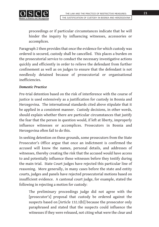

proceedings or if particular circumstances indicate that he will hinder the inquiry by influencing witnesses, accessories or accomplices.

Paragraph 2 then provides that once the evidence for which custody was ordered is secured, custody shall be cancelled. This places a burden on the prosecutorial service to conduct the necessary investigative actions quickly and efficiently in order to relieve the defendant from further confinement as well as on judges to ensure that the defendant is not needlessly detained because of prosecutorial or organisational inefficiencies.

#### *Domestic Practice*

Pre-trial detention based on the risk of interference with the course of justice is used extensively as a justification for custody in Bosnia and Herzegovina. The international standards cited above stipulate that it be applied in a consistent manner. Custody decisions, in other words, should explain whether there are particular circumstances that justify the fear that the person in question would, if left at liberty, improperly influence witnesses or accomplices. Prosecutors in Bosnia and Herzegovina often fail to do this.

In seeking detention on these grounds, some prosecutors from the State Prosecutor's Office argue that once an indictment is confirmed the accused will know the names, personal details, and addresses of witnesses, thereby creating the risk that the accused would have access to and potentially influence these witnesses before they testify during the main trial. State Court judges have rejected this particular line of reasoning. More generally, in many cases before the state and entity courts, judges and panels have rejected prosecutorial motions based on insufficient evidence. A cantonal court judge, for example, stated the following in rejecting a motion for custody:

The preliminary proceedings judge did not agree with the [prosecutor's] proposal that custody be ordered against the suspects based on [Article 132.1(b)] because the prosecutor only paraphrased and stated that the suspects could influence the witnesses if they were released, not citing what were the clear and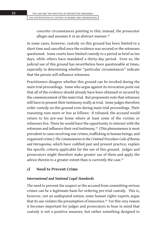concrete circumstances pointing to this; instead, the prosecutor alleges and assumes it in an abstract manner. 33

In some cases, however, custody on this ground has been limited to a short time and cancelled once the evidence was secured or the witnesses questioned. Some courts have limited custody to a period as brief as ten days, while others have mandated a thirty-day period. Even so, the judicial use of this ground has nevertheless been questionable at times, especially in determining whether "particular circumstances" indicate that the person will influence witnesses.

Practitioners disagree whether this ground can be invoked during the main trial proceedings. Some who argue against its invocation point out that all of the evidence should already have been obtained or secured by the commencement of the main trial. But proponents note that witnesses still have to present their testimony orally at trial. Some judges therefore order custody on this ground even during main trial proceedings. Their reasoning runs more or less as follows: If released, the accused would return to his pre-war home where at least some of the victims or witnesses live. There he would have the opportunity to interact with the witnesses and influence their oral testimony. <sup>34</sup> (This phenomenon is most prevalent in cases involving war crimes, trafficking in human beings, and organized crime.) *The Commentaries to the Criminal Procedure Code of Bosnia and Herzegovina*, which have codified past and present practice, explain the specific criteria applicable for the use of this ground. Judges and prosecutors might therefore make greater use of them and apply the advice therein to a greater extent than is currently the case. 35

#### **c) Need to Prevent Crime**

#### *International and National Legal Standards*

The need to prevent the suspect or the accused from committing serious crimes can be a legitimate basis for ordering pre-trial custody. This is, however, not an undisputed notion; some human rights experts argue that its use violates the presumption of innocence.<sup>36</sup> For this very reason it becomes important for judges and prosecutors to bear in mind that custody is not a punitive measure, but rather something designed to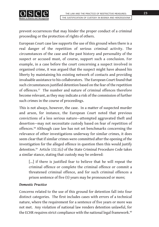

prevent occurrences that may hinder the proper conduct of a criminal proceeding or the protection of rights of others.

European Court case law supports the use of this ground when there is a real danger of the repetition of serious criminal activity. The circumstances of the case and the past history and personality of the suspect or accused must, of course, support such a conclusion. For example, in a case before the court concerning a suspect involved in organised crime, it was argued that the suspect might have abused his liberty by maintaining his existing network of contacts and providing invaluable assistance to his collaborators. The European Court found that such circumstances justified detention based on the fear of the repetition of offences. <sup>37</sup> The number and nature of criminal offences therefore become relevant, asthey may indicate a risk of the commission of further such crimes in the course of proceedings.

This is not always, however, the case. In a matter of suspected murder and arson, for instance, the European Court noted that previous convictions of a less serious nature—attempted aggravated theft and desertion—may not necessitate custody based on fear of repetition of offences. <sup>38</sup> Although case law has not set benchmarks concerning the relevance of other investigations underway for similar crimes, it does seem clear that if similar crimes were committed after the opening of the investigation for the alleged offence in question then this would justify detention. <sup>39</sup> Article 132.1(c) of the State Criminal Procedure Code takes a similar stance, stating that custody may be ordered:

[...] if there is justified fear to believe that he will repeat the criminal offence or complete the criminal offence or commit a threatened criminal offence, and for such criminal offences a prison sentence of five (5) years may be pronounced or more;

#### *Domestic Practice*

Concerns related to the use of this ground for detention fall into four distinct categories. The first includes cases with errors of a technical nature, where the requirement for a sentence of five years or more was not met. Any violation of national law renders detention unlawful, for the ECHR requires strict compliance with the national legal framework. $\rm ^{40}$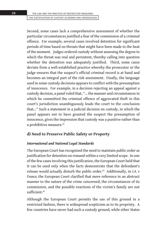Second, some cases lack a comprehensive assessment of whether the particular circumstances justified a fear of the commission of a criminal offence. For example, several cases involved detention for significant periods of time based on threats that might have been made in the heat of the moment. Judges ordered custody without assessing the degree to which the threat was real and persistent, thereby calling into question whether the detention was adequately justified. Third, some cases deviate from a well-established practice whereby the prosecutor or the judge ensures that the suspect's official criminal record is at hand and becomes an integral part of the risk assessment. Finally, the language used in some custody decisions appears to conflict with the presumption of innocence. For example, in a decision rejecting an appeal against a custody decision, a panel ruled that, "... the manner and circumstances in which he committed the criminal offence of aggravated theft in this court's jurisdiction unambiguously leads the court to the conclusion that..." Such a statement in a judicial decision on custody, in which the panel appears not to have granted the suspect the presumption of innocence, gives the impression that custody was a punitive rather than a prohibitive measure. 41

#### **d) Need to Preserve Public Safety or Property**

#### *International and National Legal Standards*

The European Court has recognised the need to maintain public order as justification for detention on remand within a very limited scope. In one of the few cases involving this justification, the European Court held that it can be used only when the facts demonstrate that the defendant's release would actually disturb the public order. <sup>42</sup> Additionally, in *I.A. v France,* the European Court clarified that mere reference in an abstract manner to the nature of the crime concerned, the circumstances of its commission, and the possible reactions of the victim's family are not sufficient. 43

Although the European Court permits the use of this ground in a restricted fashion, there is widespread scepticism as to its propriety. A few countries have never had such a custody ground, while other States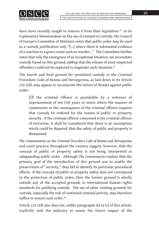

have more recently sought to remove it from their legislation. <sup>44</sup> In its Explanatory Memorandum on the use of remand in custody, the Council of Europe's Committee of Ministers notes that public order may be used as a custody justification only "[…] where there is substantial evidence of a reaction to a grave crime such as murder…" The Committee further notes that only the emergence of an exceptional situation can necessitate custody based on this ground, adding that the release of most suspected offenders could not be expected to engender such situation. 45

The fourth and final ground for permitted custody in the Criminal Procedure Code of Bosnia and Herzegovina, as laid down in its Article 132.1(d), may appear to incorporate the notion of threats against public order:

[I]f the criminal offence is punishable by a sentence of imprisonment of ten (10) years or more, where the manner of commission or the consequence of the criminal offence requires that custody be ordered for the reason of public or property security. If the criminal offence concerned is the criminal offence of terrorism, it shall be considered that there is an assumption which could be disputed, that the safety of public and property is threatened.

*The Commentaries on the Criminal Procedure Code of Bosnia and Herzegovina* and court practice throughout the country suggest, however, that the concept of public or property safety is not being interpreted as safeguarding public order. Although *The Commentaries* explain that the primary goal of the introduction of this ground was to enable the preservation of "security," they fail to identify its particular procedural effects. If the concept of public or property safety does not correspond to the protection of public order, then the former ground is wholly outside any of the accepted grounds in international human rights standards for justifying custody. The use of other existing grounds for custody, especially the risk of continued criminal activity, may therefore suffice to ensure such order. 46

Article 132.1(d) also does not, unlike paragraphs (a) to (c) of this article, explicitly task the judiciary to assess the future impact of the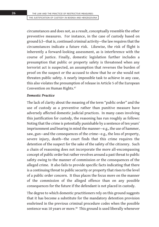circumstances and does not, as a result, conceptually resemble the other preventive measures. For instance, in the case of custody based on ground (c)—that is, continued criminal activity—the law requiresthat the circumstances indicate a future risk. Likewise, the risk of flight is inherently a forward-looking assessment, as is interference with the course of justice. Finally, domestic legislation further includes a presumption that public or property safety is threatened when any terrorist act is suspected, an assumption that reverses the burden of proof on the suspect or the accused to show that he or she would not threaten public safety. A nearly impossible task to achieve in any case, this also violates the presumption of release in Article 5 of the European Convention on Human Rights. 47

#### *Domestic Practice*

The lack of clarity about the meaning of the term "public order" and the use of custody as a preventive rather than punitive measure have adversely affected domestic judicial practices. In many cases involving this justification for custody, the reasoning has run roughly as follows: Noting that the crime is potentially punishable by a sentence of ten years' imprisonment and bearing in mind the manner—e.g., the use of hammer, saw, gun—and the consequences of the crime—e.g., the loss of property, severe injury, death—the court finds that this crime requires the detention of the suspect for the sake of the safety of the citizenry. Such a chain of reasoning does not incorporate the more all-encompassing concept of public order but rather revolves around a past threat to public safety owing to the manner of commission or the consequences of the alleged crime. It also fails to provide specific facts indicating that there is a continuing threat to public security or property that rises to the level of a public order concern. It thus places the focus more on the manner of the commission of the alleged offence than on any possible consequences for the future if the defendant is not placed in custody.

The degree to which domestic practitioners rely on this ground suggests that it has become a substitute for the mandatory detention provision enshrined in the previous criminal procedure codes when the possible sentence was 10 years or more. <sup>48</sup> This ground is used liberally whenever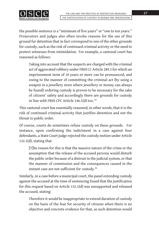

the possible sentence is a "minimum of five years" or "one to ten years." Prosecutors and judges also often invoke reasons for the use of this ground for detention that in fact correspond to one of the other grounds for custody, such as the risk of continued criminal activity or the need to protect witnesses from intimidation. For example, a cantonal court has reasoned as follows:

Taking into account that the suspects are charged with the criminal act of aggravated robbery under FBiH CC Article 289.2 for which an imprisonment term of 10 years or more can be pronounced, and owing to the manner of committing the criminal act (by using a weapon in a jewellery store where jewellery or money can always be found) ordering custody is proven to be necessary for the sake of citizens' safety and accordingly there are grounds for custody in line with FBiH CPC Article 146.1(d) too. <sup>49</sup>

This cantonal court has essentially reasoned, in other words, that it is the risk of continued criminal activity that justifies detention and not the threat to public order.

Of course, courts do sometimes refuse custody on these grounds. For instance, upon confirming the indictment in a case against four defendants, a State Court judge rejected the custody motion under Article 132.1(d), stating that

[T]he reason for this is that the massive nature of the crime or the assumption that the release of the accused persons would disturb the public order because of a distrust in the judicial system, or that the manner of commission and the consequences caused in the instant case are not sufficient for custody. 50

Similarly, in a case before a municipal court, the panel extending custody against the accused at the time of sentencing found that the justification for this request based on Article 132.1(d) was unsupported and released the accused, stating:

Therefore it would be inappropriate to extend duration of custody on the basis of the fear for security of citizens when there is no objective and concrete evidence for that, as such detention would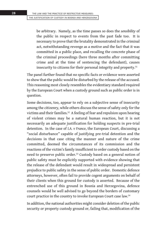be arbitrary. Namely, as the time passes so does the *sensibility* of the public in respect to events from the past fade too. It is necessary to prove that the brutality demonstrated in the criminal act, notwithstanding revenge as a motive and the fact that it was committed in a public place, and recalling the concrete phase of the criminal proceedings (here three months after committing crime and at the time of sentencing the defendant), causes insecurity to citizens for their personal integrity and property. 51

The panel further found that no specific facts or evidence were asserted to show that the public would be disturbed by the release of the accused. This reasoning most closely resembles the evidentiary standard required by the European Court when a custody ground such as public order is in question.

Some decisions, too, appear to rely on a subjective sense of insecurity among the citizenry, while others discuss the sense of safety only for the victims and their families. <sup>52</sup> A feeling of fear and repulsion upon hearing of violent crimes may be a natural human reaction, but it is not necessarily an adequate justification for holding suspects in pre-trial detention. In the case of *I.A. v France*, the European Court, discussing a "social disturbance" capable of justifying pre-trial detention and the decisions in that case citing the manner and nature of the crime committed, deemed the circumstances of its commission and the reactions of the victim's family insufficient to order custody based on the need to preserve public order. <sup>53</sup> Custody based on a general notion of public safety must be explicitly supported with evidence showing that the release of the defendant would result in widespread and persistent prejudice to public safety in the sense of public order. Domestic defence attorneys, however, often fail to provide cogent arguments on behalf of their clients when this ground for custody is asserted. Because of the entrenched use of this ground in Bosnia and Herzegovina, defence counsels would be well advised to go beyond the borders of customary court practice in the country to invoke European Court case law. 54

In addition, the national authorities might consider deletion of the public security or property custody ground or, failing that, modification of the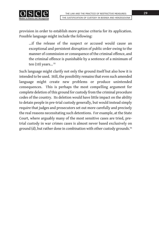

provision in order to establish more precise criteria for its application. Possible language might include the following:

…if the release of the suspect or accused would cause an exceptional and persistent disruption of public order owing to the manner of commission or consequence of the criminal offence, and the criminal offence is punishable by a sentence of a minimum of ten (10) years...<sup>55</sup>

Such language might clarify not only the ground itself but also how it is intended to be used. Still, the possibility remains that even such amended language might create new problems or produce unintended consequences. This is perhaps the most compelling argument for complete deletion of this ground for custody from the criminal procedure codes of the country. Its deletion would have little impact on the ability to detain people in pre-trial custody generally, but would instead simply require that judges and prosecutors set out more carefully and precisely the real reasons necessitating such detentions. For example, at the State Court, where arguably many of the most sensitive cases are tried, pretrial custody in war crimes cases is almost never based exclusively on ground (d), but rather done in combination with other custody grounds. 56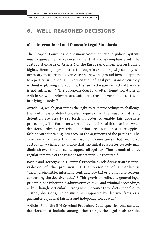# **6. WELL-REASONED DECISIONS**

#### **a) International and Domestic Legal Standards**

The European Court has held in many cases that national judicial systems must organise themselves in a manner that allows compliance with the custody standards of Article 5 of the European Convention on Human Rights. Hence, judges must be thorough in explaining why custody is a necessary measure in a given case and how the ground invoked applies to a particular individual. <sup>57</sup> Rote citation of legal provisions on custody without explaining and applying the law to the specific facts of the case is not sufficient. <sup>58</sup> The European Court has often found violations of Article 5.3 when relevant and sufficient reasons were not asserted in justifying custody. 59

Article 5.4, which guarantees the right to take proceedings to challenge the lawfulness of detention, also requires that the reasons justifying detention are clearly set forth in order to enable fair appellate proceedings. The European Court finds violations of this provision when decisions ordering pre-trial detention are issued in a stereotypical fashion without taking into account the arguments of the parties. <sup>60</sup> The case law also insists that the specific circumstances that prompted custody may change and hence that the initial reason for custody may diminish over time or can disappear altogether. Thus, examination at regular intervals of the reasons for detention is required. 61

Bosnia and Herzegovina's Criminal Procedure Code deems it an essential violation of the provisions if the reasoning of a verdict is "incomprehensible, internally contradictory (…) or did not cite reasons concerning the decisive facts."62 This provision reflects a general legal principle, one inherent in administrative, civil, and criminal proceedings alike. Though particularly strong when it comes to verdicts, it applies to custody decisions, which must be supported by decisive facts as a guarantor of judicial fairness and independence, as well. 63

Article 134 of the BiH Criminal Procedure Code specifies that custody decisions must include, among other things, the legal basis for the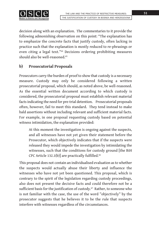

decision along with an explanation. The commentaries to it provide the following admonishing observation on this point: "The explanation has to emphasize the concrete facts that justify custody, often lacking in practice such that the explanation is mostly reduced to re-phrasings or even citing a legal text."64 Decisions ordering prohibiting measures should also be well-reasoned. 65

#### **b) Prosecutorial Proposals**

Prosecutors carry the burden of proof to show that custody is a necessary measure. Custody may only be considered following a written prosecutorial proposal, which should, as noted above, be well-reasoned. As the essential written document according to which custody is considered, the prosecutorial proposal must establish relevant material facts indicating the need for pre-trial detention. Prosecutorial proposals often, however, fail to meet this standard. They tend instead to make bald assertions without including relevant and sufficient material facts. For example, in one proposal requesting custody based on potential witness intimidation, the explanation provided:

At this moment the investigation is ongoing against the suspects, and all witnesses have not yet given their statement before the Prosecutor, which objectively indicates that if the suspects were released they would impede the investigation by intimidating the witnesses, such that the conditions for custody ground [the BiH CPC Article 132.1(b)] are practically fulfilled. 66

This proposal does not contain an individualised evaluation asto whether the suspects would actually abuse their liberty and influence the witnesses who have not yet been questioned. This proposal, which is contrary to the spirit of the legislation regarding custody proceedings, also does not present the decisive facts and could therefore not be a sufficient basis for the justification of custody. $\rm ^{67}$  Rather, to someone who is not familiar with the case, the use of the word "objectively" by the prosecutor suggests that he believes it to be the rule that suspects interfere with witnesses regardless of the circumstances.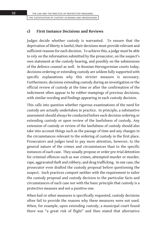#### **c) First Instance Decisions and Reviews**

Judges decide whether custody is warranted. To ensure that the deprivation of liberty islawful, their decisions must provide relevant and sufficient reasons for each decision. To achieve this, a judge must be able to rely on the information submitted by the prosecutor, on the suspect's own statement at the custody hearing, and possibly on the submissions of the defence counsel as well. In Bosnian-Herzegovinian courts today, decisions ordering or extending custody are seldom fully supported with specific explanations why this stricter measure is necessary. Furthermore, decisions extending custody during an investigation or the official review of custody at the time or after the confirmation of the indictment often appear to be rubber-stampings of previous decisions, with similar wording and findings appearing in each custody decision.

This calls into question whether rigorous examinations of the need for custody are actually undertaken in practice. In principle, a substantive assessment should always be conducted before each decision ordering or extending custody or upon review of the lawfulness of custody. Any extension of custody or review of the lawfulness of custody should also take into account things such as the passage of time and any changes in the circumstances relevant to the ordering of custody in the first place. Prosecutors and judges tend to pay more attention, however, to the general nature of the crimes and circumstances than to the specific instances of each case. They usually propose or order pre-trial detention for criminal offences such as war crimes, attempted murder or murder, rape, aggravated theft and robbery, and drug trafficking. In one case, the prosecutor even drafted the custody proposal before questioning the suspect. Such practices comport neither with the requirement to tailor the custody proposal and custody decision to the particular facts and circumstances of each case nor with the basic principle that custody is a protective measure and not a punitive one.

When bail or other measures is specifically requested, custody decisions often fail to provide the reasons why these measures were not used. When, for example, upon extending custody, a municipal court found there was "a great risk of flight" and then stated that alternative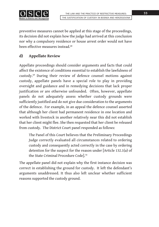

preventive measures cannot be applied at this stage of the proceedings, its decision did not explain how the judge had arrived at this conclusion nor why a compulsory residence or house arrest order would not have been effective measures instead. 68

#### **d) Appellate Review**

Appellate proceedings should consider arguments and facts that could affect the existence of conditions essential to establish the lawfulness of custody. <sup>69</sup> During their review of defence counsel motions against custody, appellate panels have a special role to play in providing oversight and guidance and in remedying decisions that lack proper justification or are otherwise unfounded. Often, however, appellate panels do not adequately assess whether custody grounds were sufficiently justified and do not give due consideration to the arguments of the defence. For example, in an appeal the defence counsel asserted that although her client had permanent residence in one location and worked with livestock in another relatively near this did not establish that her client might flee. She then requested that her client be released from custody. The District Court panel responded as follows:

The Panel of this Court believes that the Preliminary Proceedings Judge correctly evaluated all circumstances related to ordering custody and consequently acted correctly in the case by ordering detention for the suspect for the reason under [Article 132.1(a) of the State Criminal Procedure Code]. 70

The appellate panel did not explain why the first instance decision was correct in establishing the ground for custody. It left the defendant's arguments unaddressed. It thus also left unclear whether sufficient reasons supported the custody ground.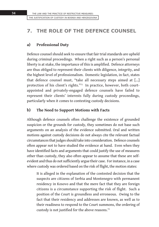# **7. THE ROLE OF THE DEFENCE COUNSEL**

#### **a) Professional Duty**

Defence counsel should seek to ensure that fair trial standards are upheld during criminal proceedings. When a right such as a person's personal liberty is at stake, the importance of this is amplified. Defence attorneys are thus obliged to represent their clients with diligence, integrity, and the highest level of professionalism. Domestic legislation, in fact, states that defence counsel must, "take all necessary steps aimed at […] protection of his client's rights."71 In practice, however, both courtappointed and privately-engaged defence counsels have failed to represent their clients' interests fully during custody proceedings, particularly when it comes to contesting custody decisions.

#### **b) The Need to Support Motions with Facts**

Although defence counsels often challenge the existence of grounded suspicion or the grounds for custody, they sometimes do not base such arguments on an analysis of the evidence submitted. Oral and written motions against custody decisions do not always cite the relevant factual circumstances that judges should take into consideration. Defence counsels often appear not to have studied the evidence at hand. Even when they have identified facts and arguments that could justify the use of measures other than custody, they also often appear to assume that these are selfevident and thus do not sufficiently argue their case. For instance, in a case where custody was ordered based on the risk of flight, the motion states:

It is alleged in the explanation of the contested decision that the suspects are citizens of Serbia and Montenegro with permanent residency in Kosovo and that the mere fact that they are foreign citizens is a circumstance supporting the risk of flight. Such a position of the Court is groundless and erroneous. Owing to the fact that their residency and addresses are known, as well as to their readiness to respond to the Court summons, the ordering of custody is not justified for the above reasons. $^{72}$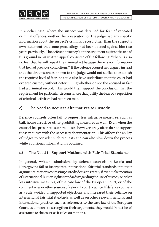

In another case, where the suspect was detained for fear of repeated criminal offences, neither the prosecutor nor the judge had any specific information about the suspect's criminal record other than the suspect's own statement that some proceedings had been opened against him two years previously. The defence attorney's entire argument against the use of this ground in his written appeal consisted of the following: "There is also no fear that he will repeat the criminal act because there is no information that he had previous convictions." If the defence counsel had argued instead that the circumstances known to the judge would not suffice to establish the required level of fear, he could also have underlined that the court had ordered custody without determining whether or not the accused in fact had a criminal record. This would then support the conclusion that the requirement for particular circumstances that justify the fear of a repetition of criminal activities had not been met.

### **c) The Need to Request Alternatives to Custody**

Defence counsels often fail to request less intrusive measures, such as bail, house arrest, or other prohibiting measures as well. Even when the counsel has presented such requests, however, they often do not support these requests with the necessary documentation. This affects the ability of judges to consider such requests and can also slow down the process while additional information is obtained.

### **d) The Need to Support Motions with Fair Trial Standards**

In general, written submissions by defence counsels in Bosnia and Herzegovina fail to incorporate international fair trial standards into their arguments. Motions contesting custody decisions rarely if ever make mention of international human rights standards regarding the use of custody or other less intrusive measures, of the case law of the European Court, or of the commentaries or other sources of relevant court practice.If defence counsels as a rule avoided unsupported objections and increased their reliance on international fair trial standards as well as on other relevant national and international practice, such as references to the case law of the European Court, as a means to strengthen their arguments, they would in fact be of assistance to the court as it rules on motions.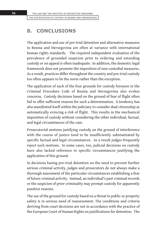THE LAW AND THE PRACTICE OF RESTRICTIVE MEASURES: THE JUSTIFICATION OF CUSTODY IN BOSNIA AND HERZEGOVINA

# **8. CONCLUSIONS**

The application and use of pre-trial detention and alternative measures in Bosnia and Herzegovina are often at variance with international human rights standards. The required independent evaluation of the prevalence of grounded suspicion prior to ordering and extending custody or on appeal is often inadequate. In addition, the domestic legal framework does not promote the imposition of non-custodial measures. As a result, practices differ throughout the country and pre-trial custody too often appears to be the norm rather than the exception.

The application of each of the four grounds for custody foreseen in the Criminal Procedure Code of Bosnia and Herzegovina also evokes concerns. Custody decisions based on the ground of fear of flight often fail to offer sufficient reasons for such a determination. A tendency has also manifested itself within the judiciary to consider dual citizenship as automatically evincing a risk of flight. This results in the mechanical imposition of custody without considering the other individual, factual, and legal circumstances of the case.

Prosecutorial motions justifying custody on the ground of interference with the course of justice tend to be insufficiently substantiated by specific factual and legal circumstances. As a result judges frequently reject such motions. In some cases, too, judicial decisions on custody have also lacked reference to specific circumstances justifying the application of this ground.

In decisions basing pre-trial detention on the need to prevent further serious criminal activity, judges and prosecutors do not always make a thorough assessment of the particular circumstances establishing a fear of future criminal activity. Instead, an individual's past criminal records or the suspicion of prior criminality may prompt custody for apparently punitive reasons.

The use of the ground for custody based on a threat to public or property safety is in serious need of reassessment. The conditions and criteria deriving from court decisions are not in accordance with the practice of the European Court of Human Rights on justifications for detention. The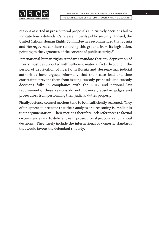

reasons asserted in prosecutorial proposals and custody decisions fail to indicate how a defendant's release imperils public security. Indeed, the United Nations Human Rights Committee has recommended that Bosnia and Herzegovina consider removing this ground from its legislation, pointing to the vagueness of the concept of public security. 73

International human rights standards mandate that any deprivation of liberty must be supported with sufficient material facts throughout the period of deprivation of liberty. In Bosnia and Herzegovina, judicial authorities have argued informally that their case load and time constraints prevent them from issuing custody proposals and custody decisions fully in compliance with the ECHR and national law requirements. These reasons do not, however, absolve judges and prosecutors from performing their judicial duties properly.

Finally, defence counsel motions tend to be insufficiently reasoned. They often appear to presume that their analysis and reasoning is implicit in their argumentation. Their motions therefore lack references to factual circumstances and to deficienciesin prosecutorial proposals and judicial decisions. They rarely include the international or domestic standards that would favour the defendant's liberty.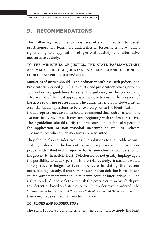THE LAW AND THE PRACTICE OF RESTRICTIVE MEASURES: THE JUSTIFICATION OF CUSTODY IN BOSNIA AND HERZEGOVINA

# **9. RECOMMENDATIONS**

The following recommendations are offered in order to assist practitioners and legislative authorities in fostering a more human rights-compliant application of pre-trial custody and alternative measures to custody.

### **TO THE MINISTRIES OF JUSTICE, THE STATE PARLIAMENTARY ASSEMBLY, THE HIGH JUDICIAL AND PROSECUTORIAL COUNCIL, COURTS AND PROSECUTORS' OFFICES**

Ministries of Justice should, in co-ordination with the High Judicial and Prosecutorial Council (HJPC), the courts, and prosecutors' offices, develop comprehensive guidelines to assist the judiciary in the correct and effective use of the most appropriate measure to ensure the presence of the accused during proceedings. The guidelines should include a list of essential factual questions to be answered prior to the identification of the appropriate measure and should recommend that such an assessment systematically review each measure, beginning with the least intrusive. These guidelines should clarify the procedural and technical aspects of the application of non-custodial measures as well as indicate circumstances where such measures are warranted.

They should also consider two possible solutions to the problems with custody ordered on the basis of the need to preserve public safety or property identified in this report—that is, amendments to or deletion of the ground (d) in Article 132.1. Deletion would not greatly impinge upon the possibility to detain persons in pre-trial custody. Instead, it would simply require judges to take more care in stating the reasons necessitating custody. If amendment rather than deletion is the chosen course, any amendments should take into account international human rights standards and seek to establish the precise criteria by which pretrial detention based on disturbance to public order may be ordered. The *Commentariesto the Criminal Procedure Code of Bosnia and Herzegovina* would then need to be revised to provide guidance.

### **TO JUDGES AND PROSECUTORS**

The right to release pending trial and the obligation to apply the least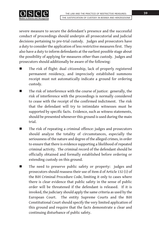

severe measure to secure the defendant's presence and the successful conduct of proceedings should underpin all prosecutorial and judicial decisions pertaining to pre-trial custody. Judges and prosecutors have a duty to consider the application of less restrictive measures first. They also have a duty to inform defendants at the earliest possible stage about the possibility of applying for measures other than custody. Judges and prosecutors should additionally be aware of the following:

- The risk of flight: dual citizenship, lack of properly registered permanent residency, and imprecisely established summons receipt must not automatically indicate a ground for ordering custody.
- The risk of interference with the course of justice: generally, the risk of interference with the proceedings is normally considered to cease with the receipt of the confirmed indictment. The risk that the defendant will try to intimidate witnesses must be supported by specific facts. Evidence, such as witness statements, should be presented whenever this ground is used during the main trial.
- The risk of repeating a criminal offence: judges and prosecutors should analyze the totality of circumstances, especially the seriousness of the nature and degree of the alleged crimes, in order to ensure that there is evidence supporting a likelihood of repeated criminal activity. The criminal record of the defendant should be officially obtained and formally established before ordering or extending custody on this ground.
- The need to preserve public safety or property: judges and prosecutors should reassess their use of item d of Article 132 (1) of the BiH Criminal Procedure Code, limiting it only to cases where there is clear evidence that public safety in the sense of public order will be threatened if the defendant is released. If it is invoked, the judiciary should apply the same criteria as used by the European Court. The entity Supreme Courts and the BiH Constitutional Court should specify the very limited application of this ground and require that the facts demonstrate a clear and continuing disturbance of public safety.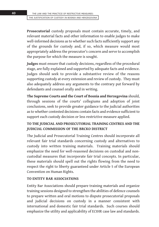**Prosecutorial** custody proposals must contain accurate, timely, and relevant material facts and other information to enable judges to make well-informed decisions as to whether such facts sufficiently support any of the grounds for custody and, if so, which measure would most appropriately address the prosecutor's concern and serve to accomplish the purpose for which the measure is sought.

**Judges** must ensure that custody decisions, regardless of the procedural stage, are fully explained and supported by adequate facts and evidence. Judges should seek to provide a substantive review of the reasons supporting custody at every extension and review of custody. They must also adequately address any arguments to the contrary put forward by defendants and counsel orally and in writing.

**The Supreme Courts and the Court of Bosnia and Herzegovina** should, through sessions of the courts' collegiums and adoption of joint conclusions, seek to provide greater guidance to the judicial authorities asto whether contested decisions contain facts and evidence sufficient to support each custody decision or less restrictive measure applied.

## **TO THE JUDICIAL AND PROSECUTORIAL TRAINING CENTRES AND THE JUDICIAL COMMISSION OF THE BRCKO DISTRICT**

The Judicial and Prosecutorial Training Centres should incorporate all relevant fair trial standards concerning custody and alternatives to custody into written training materials. Training materials should emphasize the need for well-reasoned decisions on custodial and noncustodial measures that incorporate fair trial concepts. In particular, these materials should spell out the rights flowing from the need to respect the right to liberty guaranteed under Article 5 of the European Convention on Human Rights.

### **TO ENTITY BAR ASSOCIATIONS**

Entity Bar Associations should prepare training materials and organize training sessions designed to strengthen the abilities of defence counsels to prepare written and oral motions to dispute prosecutorial proposals and judicial decisions on custody in a manner consistent with international and domestic fair trial standards. Such courses should emphasize the utility and applicability of ECtHR case law and standards.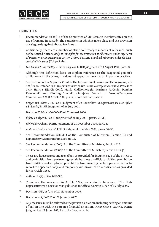

#### **ENDNOTES**

- <sup>1</sup> Recommendation (2006)13 of the Committee of Ministers to member states on the use of remand in custody, the conditions in which it takes place and the provision of safeguards against abuse. See Annex.
- <sup>2</sup> Additionally, there are a number of other non-treaty standards of relevance, such as the United Nations *Body of Principles for the Protection of All Persons under Any Form of Detention or Imprisonment* or the United Nations *Standard Minimum Rules for Noncustodial Measures* (Tokyo Rules).
- <sup>3</sup> *Fox, Campbell and Hartley v United Kingdom*, ECtHR judgment of 30 August 1990, para. 32.
- <sup>4</sup> Although this definition lacks an explicit reference to the suspected person's affiliation with the crime, this does not appear to have had an impact on practice.
- <sup>5</sup> See decision of the Supreme Court of the Federation of Bosnia and Herzegovina, Kž-526/03, 29 October 2003 in *Commentaries on the Bosnia-Herzegovina Criminal Procedure Code,* Hajrija Sijerčić-Čolić, Malik Hadžiomeragić, Marinko Jurčević, Damjan Kaurinović and Miodrag Simović, (Sarajevo, Council of Europe/European Commission, 2005) Article 132, p. 414, unofficial translation.
- <sup>6</sup> *Brogan and Others v UK*, ECtHR judgment of 29 November 1988, para. 84;see also *Ilijkov v Bulgaria*, ECtHR judgment of 26 July 2001.
- <sup>7</sup> Decision 070-0-Kž-06-000445 of 23 August 2006.
- <sup>8</sup> *Ilijkov v Bulgaria*, ECtHR judgment of 26 July 2001, paras. 93-98.
- <sup>9</sup> *Jablonski v Poland*, ECtHR judgment of 21 December 2000, para. 83
- <sup>10</sup> *Ambruszkiewicz v Poland*, ECtHR judgment of 4 May 2006, paras. 32-33.
- <sup>11</sup> See Recommendation (2006)13 of the Committee of Ministers, Section I.4 and Explanatory Memorandum Section 1.4.
- <sup>12</sup> See Recommendation (2006)13 of the Committee of Ministers, Section II.7.
- <sup>13</sup> See Recommendation (2006)13 of the Committee of Ministers, Section II.14 [1].
- <sup>14</sup> These are house arrest and travel ban as provided for in Article 126 of the BiH CPC, and prohibition from performing certain business or official activities, prohibition from visiting certain places, prohibition from meeting certain persons, order to report to a specified body, and temporary withdrawal of driver'slicense, as provided for in Article 126a.
- <sup>15</sup> Article 123(2) of the BiH CPC.
- <sup>16</sup> These are the measures in Article 126a, see endnote 14 above. The High Representative's decision was published in Official Gazette 53/07 of 16 July 2007.
- <sup>17</sup> Decision KRN/06/234 of 29 November 2006.
- <sup>18</sup> Decision X-K/06/181 of 29 January 2007.
- <sup>19</sup> Any measure must be tailored to the person's situation, including setting an amount of bail in line with the person's financial situation. *Neumeister v Austria*, ECtHR judgment of 27 June 1968, As to the Law, para. 14.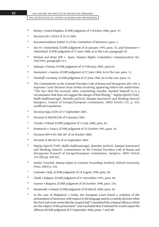- <sup>20</sup> *McKay v United Kingdom*, ECtHR judgment of 3 October 2006, para. 47.
- <sup>21</sup> Decision Kž-I-10/03 of 19.12.2003.
- <sup>22</sup> Recommendation (2006) 13 of the Committee of Ministers, para. 2.
- <sup>23</sup> See *W v Switzerland*, ECtHR judgment of 26 January 1993, para. 33, and *Neumeister v Switzerland*, ECtHR judgment of 27 June 1968, as to the Law, paragraph 10.
- <sup>24</sup> *Michael and Brian Hill v Spain*, Human Rights Committee Communication No. 526/1993, paragraph 12.3.
- <sup>25</sup> *Sulaoaja v Estonia,* ECtHR judgment of 15 February 2005, para 64.
- <sup>26</sup> *Neumeister v Austria*, ECtHR judgment of 27 June 1968, As to the Law, para. 11.
- <sup>27</sup> *Wemhoff v Germany*, ECtHR judgment of 27 June 1968, As to the Law, para. 15.
- <sup>28</sup> The *Commentaries on the Criminal Procedure Code of Bosnia and Herzegovina* also cite a Supreme Court Decision from Serbia involving appearing before the authorities: "The fact that the accused, after committing murder, handed himself in is a circumstance that does not suggest the danger of him fleeing." Hajrija Sijerčić-Čolić, Malik Hadžiomeragić, Marinko Jurčević, Damjan Kaurinović and Miodrag Simović (Sarajevo, Council of Europe/European Commission, 2005) Article 132, p. 419, unofficial translation.
- $29$  Decision Kpp 23/05 of 17 September 2005.
- $30$  Decision X-KR/06/290 of 9 January 2007.
- <sup>31</sup> *Trzaska v Poland,* ECtHR judgment of 11 July 2000, para. 65.
- <sup>32</sup> *Kemmache v. France*, ECtHR judgment of 22 October 1991, para. 54.
- <sup>33</sup> Decision 009-0-Kv-000 287 of 18 October 2006.
- <sup>34</sup> Decision X-KR-05/16 of 16 September 2005.
- <sup>35</sup> Hajrija Sijerčić-Čolić, Malik Hadžiomeragić, Marinko Jurčević, Damjan Kaurinović and Miodrag Simović, *Commentaries on the Criminal Procedure Code of Bosnia and Herzegovina* (Council of Europe/European Commission, Sarajevo, 2005) Article 132.1(b) pp. 420-422.
- <sup>36</sup> Stefan Treschel, *Human Rights in Criminal Proceedings* (Oxford, Oxford University Press, 2005) p. 526.
- <sup>37</sup> *Contrada v Italy*, ECtHR judgment of 24 August 1998, para. 58.
- <sup>38</sup> *Clooth v Belgium*, ECtHR judgment of 27 November 1991, para. 40.
- <sup>39</sup> *Assenov v Bulgaria*, ECtHR judgment of 28 October 1998, para. 156.
- <sup>40</sup> *Baranowski v Poland*, ECtHR judgment of 20 March 2000, para. 50.
- <sup>41</sup> In the case of *Matijašević v Serbia*, the European Court found a violation of the presumption of innocence with respect to the language used in a custody decision when the Novi Sad court wrote that the suspect had "committed the criminal offences which are the subject of the prosecution" and concluded that if released he would repeat the offences (ECtHR judgment of 19 September 2006, paras. 7 and 48).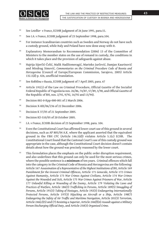

- <sup>42</sup> See *Letellier v France*, ECtHR judgment of 26 June 1991, para.51.
- <sup>43</sup> See *I.A. v France*, ECtHR judgment of 23 September 1998, para.104.
- <sup>44</sup> For instance Scandinavian countries such as Sweden and Norway do not have such a custody ground, while Italy and Poland have now done away with it.
- <sup>45</sup> Explanatory Memorandum to Recommendation (2006) 13 of the Committee of Ministers to the member states on the use of remand in custody, the conditions in which it takes place and the provision of safeguards against abuse.
- <sup>46</sup> Hajrija Sijerčić-Čolić, Malik Hadžiomeragić, Marinko Jurčević, Damjan Kaurinović and Miodrag Simović, *Commentaries on the Criminal Procedure Code of Bosnia and Herzegovina* (Council of Europe/European Commission, Sarajevo, 2005) Article 132.1(d) p. 426, unofficial translation.
- <sup>47</sup> See *Rokhlina v Russia*, ECtHR judgment of 7 April 2005, para. 67
- <sup>48</sup> Article 191(1) of the Law on Criminal Procedure, Official Gazette of the Socialist Federal Republic of Yugoslavia nos. 26/86, 74/87, 57/89, 3/90, and Official Gazette of the Republic of BH, nos. 2/92, 9/92, 16/92 and 13/94).
- <sup>49</sup> Decision 002-0-Kpp-000-001 of 2 March 2006.
- <sup>50</sup> Decision X-KR/06/236 of 22 December 2006.
- <sup>51</sup> Decision K 37/05 of 21 September 2005.
- <sup>52</sup> Decision Kž-510/05 of 20 October 2005.
- <sup>53</sup> *I.A. v France*, ECtHR decision of 23 September 1998, para. 104.
- <sup>54</sup> Even the Constitutional Court has affirmed lower court use of this ground in several decisions, such as AP 805/04 A.K. where the applicant asserted that the equivalent ground in the FBH CPC (Article 146.1(d)) violates Article 5.1(c) ECHR. The Constitutional Court found that the Cantonal Court's use of this custody ground was appropriate in the case, although the Constitutional Court decision doesn't contain details about how the ground was precisely reasoned by the lower court.
- <sup>55</sup> This formulation places the emphasis on the public order disruption requirement, and also underlines that this ground can only be used for the most serious crimes, where the possible sentence is a **minimum** of ten years. Criminal offences which fall into the category in the Criminal Code of Bosnia and Herzegovina are the following: Article 167 *Assassination of a Representative of the Highest Institutions of BH*, Article 169 *Punishment for the Gravest Criminal Offences*, Article 171 *Genocide,* Article 172 *Crimes Against Humanity*, Article 173 *War Crimes Against Civilians*, Article 174 *War Crimes Against the Wounded and Sick*, Article 175 *War Crimes Against Prisoners of War*, Article 177 *Unlawful Killing or Wounding of the Enemy*, Article 179 *Violating the Laws and Practices of Warfare*, Article 186(3) *Trafficking in Persons*, Article 189(5) *Smuggling of Persons*, Article 191(3) *Taking of Hostages*, Article 192(3) *Endangering Internationally Protected Persons*, Article 197(3) *Hijacking an Aircraft or a Ship*, Article 198(7) *Endangering the Safety of Air Traffic and Maritime Navigation*, Article 201(3) *Terrorism,* Article 246(c)(5) and (7) *Resisting a Superior*, Article 246(f)(4) *Assault against a Military Person Discharging Official Duty*, and Article 250(3) *Organised Crime*.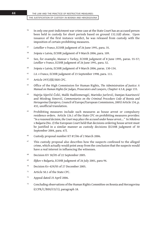- <sup>56</sup> In only one post-indictment war crime case at the State Court has an accused person been held in custody for short periods based on ground 132.1(d) alone. Upon issuance of the first instance verdict, he was released from custody with the imposition of certain prohibiting measures.
- <sup>57</sup> *Lettellier v France*, ECtHR judgment of 26 June 1991, para. 35.
- <sup>58</sup> *Svipsta v Latvia*, ECtHR judgment of 9 March 2006, para. 109.
- <sup>59</sup> See, for example, *Mansur v Turkey*, ECtHR judgment of 8 June 1995, paras. 55-57; *Letellier v France*, ECtHR judgment of 26 June 1991, para. 52.
- <sup>60</sup> *Svipsta v Latvia*, ECtHR judgment of 9 March 2006, paras. 130-134.
- <sup>61</sup> *I.A. v France*, ECtHR judgment of 23 September 1998, para. 111.
- $62$  Article 297(1)(k) BiH CPC.
- <sup>63</sup> Office of the High Commission for Human Rights, *The Administration of Justice: A Manual on Human Rights for Judges, Prosecutors and Lawyers*, Chapter 4.5.8, page 133.
- <sup>64</sup> Hajrija Sijerčić-Čolić, Malik Hadžiomeragić, Marinko Jurčević, Damjan Kaurinović and Miodrag Simović, *Commentaries on the Criminal Procedure Code of Bosnia and Herzegovina* (Sarajevo, Council of Europe/European Commission, 2005) Article 134, p. 432, unofficial translation.
- <sup>65</sup> Prohibiting measures include such measures as house arrest or compulsory residence orders. Article 126.1 of the State CPC on prohibiting measures provides: *"In a reasoned decision, the Court may place the accused under house arrest…."* In *Nikolova v Bulgaria* (No. 2) the European Court held that decisions ordering house arrest must be justified in a similar manner as custody decisions (ECtHR judgment of 30 September 2004, para. 67).
- <sup>66</sup> Custody proposal number KT 87/06 of 2 March 2006.
- $67$  This custody proposal also describes how the suspects confessed to the alleged crime, which actually would point away from the conclusion that the suspects would have a real interest in influencing the witnesses.
- <sup>68</sup> Decision KV 30/05 of 22 September 2005.
- <sup>69</sup> *Ilijkov v Bulgaria*, ECtHR judgment of 26 July 2001, para 94.
- $70$  Decision Kv-429/05 of 27 December 2005.
- <sup>71</sup> Article 50.1 of the State CPC.
- <sup>72</sup> Appeal dated 25 April 2006.
- <sup>73</sup> Concluding observations of the Human Rights Committee on Bosnia and Herzegovina (CCPR/C/BIH/CO/1), paragraph 18.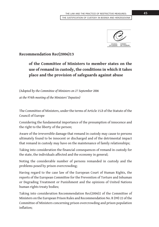

### **Recommendation Rec(2006)13**

# **of the Committee of Ministers to member states on the use of remand in custody, the conditions in which it takes place and the provision of safeguards against abuse**

*(Adopted by the Committee of Ministers on 27 September 2006*

*at the 974th meeting of the Ministers' Deputies)*

The Committee of Ministers, under the terms of Article 15*.b* of the Statute of the Council of Europe

Considering the fundamental importance of the presumption of innocence and the right to the liberty of the person;

Aware of the irreversible damage that remand in custody may cause to persons ultimately found to be innocent or discharged and of the detrimental impact that remand in custody may have on the maintenance of family relationships;

Taking into consideration the financial consequences of remand in custody for the state, the individuals affected and the economy in general;

Noting the considerable number of persons remanded in custody and the problems posed by prison overcrowding;

Having regard to the case law of the European Court of Human Rights, the reports of the European Committee for the Prevention of Torture and Inhuman or Degrading Treatment or Punishment and the opinions of United Nations human rights treaty bodies;

Taking into consideration Recommendation Rec(2006)2 of the Committee of Ministers on the European Prison Rules and Recommendation No. R (99) 22 of the Committee of Ministers concerning prison overcrowding and prison population inflation;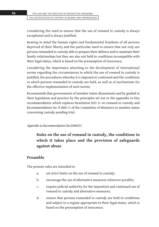Considering the need to ensure that the use of remand in custody is always exceptional and is always justified;

Bearing in mind the human rights and fundamental freedoms of all persons deprived of their liberty and the particular need to ensure that not only are persons remanded in custody able to prepare their defence and to maintain their family relationships but they are also not held in conditions incompatible with their legal status, which is based on the presumption of innocence;

Considering the importance attaching to the development of international norms regarding the circumstances in which the use of remand in custody is justified, the procedures whereby it is imposed or continued and the conditions in which persons remanded in custody are held, as well as of mechanisms for the effective implementation of such norms;

Recommends that governments of member states disseminate and be guided in their legislation and practice by the principles set out in the appendix to this recommendation which replaces Resolution (65) 11 on remand in custody and Recommendation No. R (80) 11 of the Committee of Ministers to member states concerning custody pending trial.

*Appendix to Recommendation Rec(2006)13*

# **Rules on the use of remand in custody, the conditions in which it takes place and the provision of safeguards against abuse**

### **Preamble**

The present rules are intended to:

- a. set strict limits on the use of remand in custody;
- b. encourage the use of alternative measures wherever possible;
- c. require judicial authority for the imposition and continued use of remand in custody and alternative measures;
- d. ensure that persons remanded in custody are held in conditions and subject to a regime appropriate to their legal status, which is based on the presumption of innocence;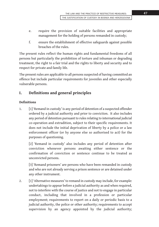- e. require the provision of suitable facilities and appropriate management for the holding of persons remanded in custody;
- f. ensure the establishment of effective safeguards against possible breaches of the rules.

The present rules reflect the human rights and fundamental freedoms of all persons but particularly the prohibition of torture and inhuman or degrading treatment, the right to a fair trial and the rights to liberty and security and to respect for private and family life.

The present rules are applicable to all persons suspected of having committed an offence but include particular requirements for juveniles and other especially vulnerable persons.

## **I. Definitions and general principles**

### **Definitions**

1. [1] 'Remand in custody' is any period of detention of a suspected offender ordered by a judicial authority and prior to conviction. It also includes any period of detention pursuant to rules relating to international judicial co-operation and extradition, subject to their specific requirements. It does not include the initial deprivation of liberty by a police or a law enforcement officer (or by anyone else so authorised to act) for the purposes of questioning.

[2] 'Remand in custody' also includes any period of detention after conviction whenever persons awaiting either sentence or the confirmation of conviction or sentence continue to be treated as unconvicted persons.

[3] 'Remand prisoners' are persons who have been remanded in custody and who are not already serving a prison sentence or are detained under any other instrument.

2. [1] 'Alternative measures' to remand in custody may include, for example: undertakings to appear before a judicial authority as and when required, not to interfere with the course of justice and not to engage in particular conduct, including that involved in a profession or particular employment; requirements to report on a daily or periodic basis to a judicial authority, the police or other authority; requirements to accept supervision by an agency appointed by the judicial authority;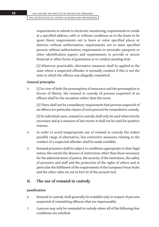requirements to submit to electronic monitoring; requirements to reside at a specified address, with or without conditions as to the hours to be spent there; requirements not to leave or enter specified places or districts without authorisation; requirements not to meet specified persons without authorisation; requirements to surrender passports or other identification papers; and requirements to provide or secure financial or other forms of guarantees as to conduct pending trial.

[2] Wherever practicable, alternative measures shall be applied in the state where a suspected offender is normally resident if this is not the state in which the offence was allegedly committed.

### **General principles**

3. [1] In view of both the presumption of innocence and the presumption in favour of liberty, the remand in custody of persons suspected of an offence shall be the exception rather than the norm.

[2] There shall not be a mandatory requirement that persons suspected of an offence (or particular classes of such persons) be remanded in custody.

[3] In individual cases, remand in custody shall only be used when strictly necessary and as a measure of last resort; it shall not be used for punitive reasons.

- 4. In order to avoid inappropriate use of remand in custody the widest possible range of alternative, less restrictive measures relating to the conduct of a suspected offender shall be made available.
- 5. Remand prisoners shall be subject to conditions appropriate to their legal status; this entails the absence of restrictions other than those necessary for the administration of justice, the security of the institution, the safety of prisoners and staff and the protection of the rights of others and in particular the fulfilment of the requirements of the European Prison Rules and the other rules set out in Part III of the present text.

### **II. The use of remand in custody**

#### **Justification**

- 6. Remand in custody shall generally be available only in respect of persons suspected of committing offences that are imprisonable.
- 7. A person may only be remanded in custody where all of the following four conditions are satisfied: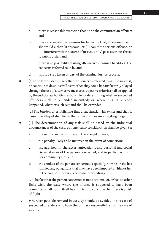- a. there is reasonable suspicion that he or she committed an offence; and
- b. there are substantial reasons for believing that, if released, he or she would either (i) abscond, or (ii) commit a serious offence, or (iii) interfere with the course of justice, or (iv) pose a serious threat to public order; and
- c. there is no possibility of using alternative measures to address the concerns referred to in b.; and
- d. this is a step taken as part of the criminal justice process.
- 8. [1] In order to establish whether the concerns referred to in Rule 7*b*. exist, or continue to do so, as well as whether they could be satisfactorily allayed through the use of alternative measures, objective criteria shall be applied by the judicial authorities responsible for determining whether suspected offenders shall be remanded in custody or, where this has already happened, whether such remand shall be extended.

[2] The burden of establishing that a substantial risk exists and that it cannot be allayed shall lie on the prosecution or investigating judge.

- 9. [1] The determination of any risk shall be based on the individual circumstances of the case, but particular consideration shall be given to:
	- a. the nature and seriousness of the alleged offence;
	- b. the penalty likely to be incurred in the event of conviction;
	- c. the age, health, character, antecedents and personal and social circumstances of the person concerned, and in particular his or her community ties; and
	- d. the conduct of the person concerned, especially how he or she has fulfilled any obligations that may have been imposed on him or her in the course of previous criminal proceedings.

[2] The fact that the person concerned is not a national of, or has no other links with, the state where the offence is supposed to have been committed shall not in itself be sufficient to conclude that there is a risk of flight.

10. Wherever possible remand in custody should be avoided in the case of suspected offenders who have the primary responsibility for the care of infants.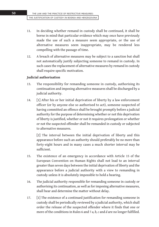- 11. In deciding whether remand in custody shall be continued, it shall be borne in mind that particular evidence which may once have previously made the use of such a measure seem appropriate, or the use of alternative measures seem inappropriate, may be rendered less compelling with the passage of time.
- 12. A breach of alternative measures may be subject to a sanction but shall not automatically justify subjecting someone to remand in custody. In such cases the replacement of alternative measures by remand in custody shall require specific motivation.

### **Judicial authorisation**

- 13. The responsibility for remanding someone in custody, authorising its continuation and imposing alternative measures shall be discharged by a judicial authority.
- 14. [1] After his or her initial deprivation of liberty by a law enforcement officer (or by anyone else so authorised to act), someone suspected of having committed an offence shall be brought promptly before a judicial authority for the purpose of determining whether or not this deprivation of liberty is justified, whether or not it requires prolongation or whether or not the suspected offender shall be remanded in custody or subjected to alternative measures.

[2] The interval between the initial deprivation of liberty and this appearance before such an authority should preferably be no more than forty-eight hours and in many cases a much shorter interval may be sufficient.

- 15. The existence of an emergency in accordance with Article 15 of the European Convention on Human Rights shall not lead to an interval greater than seven days between the initial deprivation of liberty and the appearance before a judicial authority with a view to remanding in custody unless it is absolutely impossible to hold a hearing.
- 16. The judicial authority responsible for remanding someone in custody or authorising its continuation, as well as for imposing alternative measures, shall hear and determine the matter without delay.
- 17. [1] The existence of a continued justification for remanding someone in custody shall be periodically reviewed by a judicial authority, which shall order the release of the suspected offender where it finds that one or more of the conditions in Rules 6 and 7 *a*, *b*, *c* and *d* are no longer fulfilled.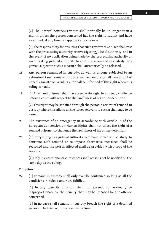[2] The interval between reviews shall normally be no longer than a month unless the person concerned has the right to submit and have examined, at any time, an application for release.

[3] The responsibility for ensuring that such reviews take place shall rest with the prosecuting authority or investigating judicial authority, and in the event of no application being made by the prosecuting authority or investigating judicial authority to continue a remand in custody, any person subject to such a measure shall automatically be released.

- 18. Any person remanded in custody, as well as anyone subjected to an extension of such remand or to alternative measures, shall have a right of appeal against such a ruling and shall be informed of this right when this ruling is made.
- 19. [1] A remand prisoner shall have a separate right to a speedy challenge before a court with respect to the lawfulness of his or her detention.

[2] This right may be satisfied through the periodic review of remand in custody where this allows all the issues relevant to such a challenge to be raised.

- 20. The existence of an emergency in accordance with Article 15 of the European Convention on Human Rights shall not affect the right of a remand prisoner to challenge the lawfulness of his or her detention.
- 21. [1] Every ruling by a judicial authority to remand someone in custody, to continue such remand or to impose alternative measures shall be reasoned and the person affected shall be provided with a copy of the reasons.

[2] Only in exceptional circumstances shall reasons not be notified on the same day as the ruling.

#### **Duration**

22. [1] Remand in custody shall only ever be continued so long as all the conditions in Rules 6 and 7 are fulfilled.

[2] In any case its duration shall not exceed, nor normally be disproportionate to, the penalty that may be imposed for the offence concerned.

[3] In no case shall remand in custody breach the right of a detained person to be tried within a reasonable time.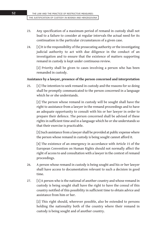- 23. Any specification of a maximum period of remand in custody shall not lead to a failure to consider at regular intervals the actual need for its continuation in the particular circumstances of a given case.
- 24. [1] It isthe responsibility of the prosecuting authority or the investigating judicial authority to act with due diligence in the conduct of an investigation and to ensure that the existence of matters supporting remand in custody is kept under continuous review.

[2] Priority shall be given to cases involving a person who has been remanded in custody.

### **Assistance by a lawyer, presence of the person concerned and interpretation**

25. [1] The intention to seek remand in custody and the reasons for so doing shall be promptly communicated to the person concerned in a language which he or she understands.

[2] The person whose remand in custody will be sought shall have the right to assistance from a lawyer in the remand proceedings and to have an adequate opportunity to consult with his or her lawyer in order to prepare their defence. The person concerned shall be advised of these rights in sufficient time and in a language which he or she understands so that their exercise is practicable.

[3] Such assistance from a lawyer shall be provided at public expense where the person whose remand in custody is being sought cannot afford it.

[4] The existence of an emergency in accordance with Article 15 of the European Convention on Human Rights should not normally affect the right of accessto and consultation with a lawyer in the context of remand proceedings.

- 26. A person whose remand in custody is being sought and his or her lawyer shall have access to documentation relevant to such a decision in good time.
- 27. [1] A person who is the national of another country and whose remand in custody is being sought shall have the right to have the consul of this country notified of this possibility in sufficient time to obtain advice and assistance from him or her.

[2] This right should, wherever possible, also be extended to persons holding the nationality both of the country where their remand in custody is being sought and of another country.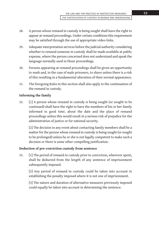- 28. A person whose remand in custody is being sought shall have the right to appear at remand proceedings. Under certain conditions this requirement may be satisfied through the use of appropriate video-links.
- 29. Adequate interpretation services before the judicial authority considering whether to remand someone in custody shall be made available at public expense, where the person concerned does not understand and speak the language normally used in those proceedings.
- 30. Persons appearing at remand proceedings shall be given an opportunity to wash and, in the case of male prisoners, to shave unless there is a risk of this resulting in a fundamental alteration of their normal appearance.
- 31. The foregoing Rules in this section shall also apply to the continuation of the remand in custody.

### **Informing the family**

32. [1] A person whose remand in custody is being sought (or sought to be continued) shall have the right to have the members of his or her family informed in good time, about the date and the place of remand proceedings unless this would result in a serious risk of prejudice for the administration of justice or for national security.

[2] The decision in any event about contacting family members shall be a matter for the person whose remand in custody is being sought (or sought to be prolonged) unless he or she is not legally competent to make such a decision or there is some other compelling justification.

### **Deduction of pre-conviction custody from sentence**

33. [1] The period of remand in custody prior to conviction**,** wherever spent**,** shall be deducted from the length of any sentence of imprisonment subsequently imposed.

[2] Any period of remand in custody could be taken into account in establishing the penalty imposed where it is not one of imprisonment.

[3] The nature and duration of alternative measures previously imposed could equally be taken into account in determining the sentence.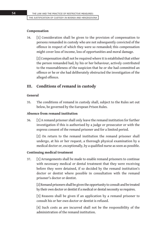#### **Compensation**

34. [1] Consideration shall be given to the provision of compensation to persons remanded in custody who are not subsequently convicted of the offence in respect of which they were so remanded; this compensation might cover loss of income, loss of opportunities and moral damage.

[2] Compensation shall not be required where it is established that either the person remanded had, by his or her behaviour, actively contributed to the reasonableness of the suspicion that he or she had committed an offence or he or she had deliberately obstructed the investigation of the alleged offence.

### **III. Conditions of remand in custody**

### **General**

35. The conditions of remand in custody shall, subject to the Rules set out below, be governed by the European Prison Rules.

### **Absence from remand institution**

36. [1] A remand prisoner shall only leave the remand institution for further investigation if this is authorised by a judge or prosecutor or with the express consent of the remand prisoner and for a limited period.

[2] On return to the remand institution the remand prisoner shall undergo, at his or her request, a thorough physical examination by a medical doctor or, exceptionally, by a qualified nurse as soon as possible.

#### **Continuing medical treatment**

37. [1] Arrangements shall be made to enable remand prisoners to continue with necessary medical or dental treatment that they were receiving before they were detained, if so decided by the remand institution's doctor or dentist where possible in consultation with the remand prisoner's doctor or dentist.

[2] Remand prisoners shall be given the opportunity to consult and be treated by their own doctor or dentist if a medical or dental necessity so requires.

[3] Reasons shall be given if an application by a remand prisoner to consult his or her own doctor or dentist is refused.

[4] Such costs as are incurred shall not be the responsibility of the administration of the remand institution.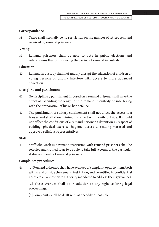### **Correspondence**

38. There shall normally be no restriction on the number of letters sent and received by remand prisoners.

### **Voting**

39. Remand prisoners shall be able to vote in public elections and referendums that occur during the period of remand in custody.

### **Education**

40. Remand in custody shall not unduly disrupt the education of children or young persons or unduly interfere with access to more advanced education.

### **Discipline and punishment**

- 41. No disciplinary punishment imposed on a remand prisoner shall have the effect of extending the length of the remand in custody or interfering with the preparation of his or her defence.
- 42. The punishment of solitary confinement shall not affect the access to a lawyer and shall allow minimum contact with family outside. It should not affect the conditions of a remand prisoner's detention in respect of bedding, physical exercise, hygiene, access to reading material and approved religious representatives.

#### **Staff**

43. Staff who work in a remand institution with remand prisoners shall be selected and trained so as to be able to take full account of the particular status and needs of remand prisoners.

#### **Complaints procedures**

44. [1] Remand prisoners shall have avenues of complaint open to them, both within and outside the remand institution, and be entitled to confidential access to an appropriate authority mandated to address their grievances.

[2] These avenues shall be in addition to any right to bring legal proceedings.

[3] Complaints shall be dealt with as speedily as possible.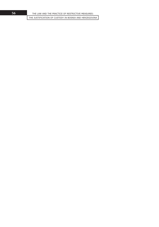**56** THE LAW AND THE PRACTICE OF RESTRICTIVE MEASURES:

THE JUSTIFICATION OF CUSTODY IN BOSNIA AND HERZEGOVINA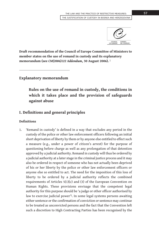

**Draft recommendation of the Council of Europe Committee of Ministers to member states on the use of remand in custody and its explanatory memorandum (see** *CM(2006)122 Addendum***, 30 August 2006).** <sup>1</sup>

### **Explanatory memorandum**

**Rules on the use of remand in custody, the conditions in which it takes place and the provision of safeguards against abuse**

### **I. Definitions and general principles**

#### **Definitions**

1. 'Remand in custody' is defined in a way that excludes any period in the custody of the police or other law enforcement officers following an initial short deprivation of liberty by them or by anyone else entitled to effect such a measure (e.g., under a power of citizen's arrest) for the purpose of questioning before charge as well as any prolongation of that detention approved by a judicial authority. Remand in custody will thus be ordered by a judicial authority at a later stage in the criminal justice process and it may also be ordered in respect of someone who has not actually been deprived of his or her liberty by the police or other law enforcement officers or anyone else so entitled to act. The need for the imposition of this loss of liberty to be ordered by a judicial authority reflects the combined requirements of Articles  $5(1)(c)$  and (3) of the European Convention on Human Rights. These provisions envisage that the competent legal authority for this purpose should be 'a judge or other officer authorised by law to exercise judicial power' 2 . In some legal systems persons awaiting either sentence or the confirmation of conviction or sentence may continue to be treated as unconvicted persons and the fact that the Convention left such a discretion to High Contracting Parties has been recognised by the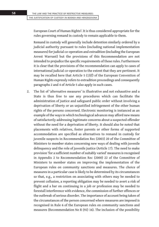European Court of Human Rights<sup>3</sup>. It is thus considered appropriate for the rules governing remand in custody to remain applicable to them.

Remand in custody will generally include detention similarly ordered by a judicial authority pursuant to rules (including national implementation measures) for judicial co-operation and extradition (including the European Arrest Warrant) but the provisions of this Recommendation are not intended to prejudice the specific requirements of those rules. Furthermore it is clear that the provisions of the recommendation can apply to cases of international judicial co-operation to the extent that they are pertinent. It may be recalled here that Article 5 (1)(f) of the European Convention of Human Rights expressly refers to extradition proceedings and consequently paragraphs 2 and 4 of Article 5 also apply in such cases.

2. The list of 'alternative measures' is illustrative and not exhaustive and a State is thus free to use any procedures which can facilitate the administration of justice and safeguard public order without involving a deprivation of liberty or an unjustified infringement of the other human rights of the persons concerned. Electronic monitoring is instanced as an example of the ways in which technological advances may afford new means of satisfactorily addressing legitimate concerns about a suspected offender without the need for a deprivation of liberty. It should also be noted that placements with relatives, foster parents or other forms of supported accommodation are specified as alternatives to remand in custody for juvenile suspects in Recommendation Rec (2003) 20 of the Committee of Ministers to member states concerning new ways of dealing with juvenile delinquency and the role of juvenile justice (Article 17). The need to make provision 'for a sufficient number of suitably varied' measures is recognised in Appendix 2 to Recommendation Rec (2000) 22 of the Committee of Ministers to member states on improving the implementation of the European rules on community sanctions and measures. The choice of measures in a particular case is likely to be determined by its circumstances so that, e.g., a restriction on associating with others may be needed to prevent collusion, a reporting obligation may be needed to avert a risk of flight and a bar on continuing in a job or profession may be needed to forestall interference with evidence, the commission of further offences or the outbreak of serious disorder. The importance of account being taken of the circumstances of the person concerned where measures are imposed is recognised in Rule 6 of the European rules on community sanctions and measures (Recommendation No R (92) 16). The inclusion of the possibility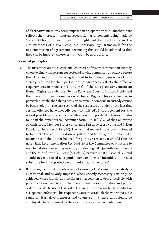of alternative measures being imposed in co-operation with another State reflects the increase in mutual recognition arrangements being made by States. Although their imposition might not be practicable in the circumstances of a given case, the necessary legal framework for the implementation of agreements permitting this should be adopted so that they can be imposed wherever this would be appropriate.

### **General principles**

- 3. The insistence on the exceptional character of resort to remand in custody when dealing with persons suspected of having committed an offence before their trial and on it only being imposed in individual cases where this is strictly required by their particular circumstances reflects the effect of requirements in Articles 5(1) and 6(2) of the European Convention on Human Rights, as elaborated by the European Court of Human Rights and the former European Commission of Human Rights. This case law has, in particular, established that a decision to remand someone in custody cannot be based solely on the past record of the suspected offender or the fact that certain offences have allegedly been committed<del>ª</del>. Encouragement for 'the widest possible use to be made of alternatives to pre-trial detention' is also found in the Appendix to Recommendation No. R (99) 22 of the Committee of Ministers to Member States concerning Prison Overcrowding and Prison Population Inflation (Article 10). The fact that remand in custody is intended to facilitate the administration of justice and to safeguard public order means that it should not be used for punitive reasons. It should thus be noted that Recommendation Rec(2003)20 of the Committee of Ministers to member states concerning new ways of dealing with juvenile delinquency and the role of juvenile justice (Article 17) provides that 'Custodial remand should never be used as a punishment or form of intimidation or as a substitute for child protection or mental health measures'.
- 4. It is recognised that the objective of ensuring that remand in custody is exceptional and is only imposed when strictly necessary can only be achieved where judicial authorities are in a position to deal effectively with potentially serious risks to the due administration of justice and public order through the use of less restrictive measures relating to the conduct of a suspected offender. This requires a State to establish the widest possible range of alternative measures and to ensure that these can actually be employed where required by the circumstances of a particular case.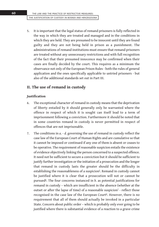5. It is important that the legal status of remand prisoners is fully reflected in the way in which they are treated and managed and in the conditions in which they are held. They are presumed to be innocent until they are found guilty and they are not being held in prison as a punishment. The administrations of remand institutions must ensure that remand prisoners are treated without any unnecessary restrictions and with full recognition of the fact that their presumed innocence may be confirmed when their cases are finally decided by the court. This requires as a minimum the observance not only of the European Prison Rules- both the rules of general application and the ones specifically applicable to untried prisoners - but also of the additional standards set out in Part III.

### **II. The use of remand in custody**

### **Justification**

- 6. The exceptional character of remand in custody meansthat the deprivation of liberty entailed by it should generally only be warranted where the offence in respect of which it is sought can itself lead to a term of imprisonment following a conviction. Furthermore it should be noted that in some countries remand in custody is never permitted in respect of offences that are not imprisonable.
- 7. The conditions in *a*. *d.* governing the use of remand in custody reflect the case law of the European Court of Human Rights and are cumulative so that it cannot be imposed or continued if any one of them is absent or ceases to be operative. The requirement of reasonable suspicion entails the existence of evidence objectively linking the person concerned to a suspected offence. It need not be sufficient to secure a conviction but it should be sufficient to justify further investigation or the initiation of a prosecution and the longer that remand in custody lasts the greater should be the difficulty in establishing the reasonableness of a suspicion<sup>5</sup>. Remand in custody cannot be justified where it is clear that a prosecution will not or cannot be pursued<sup>6</sup>. The four concerns instanced in *b*. as potential justifications for remand in custody – which are insufficient in the absence (whether at the outset or after the lapse of time) of a reasonable suspicion<sup> $2$ </sup> - reflect those recognised in the case law of the European Courtª. However, there is no requirement that all of them should actually be invoked in a particular State. Concern about public order – which is probably only ever going to be justified where there is substantial evidence of a reaction to a grave crime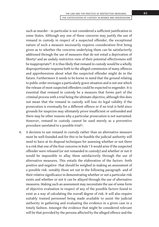such as murder **-** in particular is not considered a sufficient justification in some States. Although any one of these concerns may justify the use of remand in custody in respect of a suspected offender, the exceptional nature of such a measure necessarily requires consideration first being given as to whether the concerns underlying them can be satisfactorily addressed through the use of measures that do not entail a deprivation of liberty<sup>2</sup> and an unduly restrictive view of their potential effectiveness will be inappropriate $^{\text{\tiny 10}}$ . It is thus likely that remand in custody would be a wholly disproportionate response both to the alleged commission of many offences and apprehensions about what the suspected offender might do in the future. Furthermore it needs to be borne in mind that the ground relating to public order envisages a particularly grave situation and is not one which the release of most suspected offenders could be expected to engender. It is essential that remand in custody be a measure that forms part of the criminal process with a trial being the ultimate objective, although this does not mean that the remand in custody will lose its legal validity if the prosecution is eventually for a different offence or if no trial is held since grounds for suspicion may ultimately prove insufficient or unfounded and there may be other reasons why a particular prosecution is not warranted. However, remand in custody cannot be used merely as a preventive procedure unrelated to a possible trial<del>''</del>.

8. A decision to use remand in custody rather than an alternative measure must be well-founded and for this to be feasible the judicial authority will need to have at its disposal techniques for assessing whether or not there is a risk that one of the four concernsin Rule 7 *b* would arise if the suspected offender were released (or not remanded in custody) and whether or not it would be impossible to allay them satisfactorily through the use of alternative measures. This entails the elaboration of the factors -both positive and negative- that should be weighed in making an assessment of a possible risk -notably those set out in the following paragraph- and of their relative significance in demonstrating whether or not a particular risk exists and whether or not it can be allayed through the use of alternative measures. Making such an assessment may necessitate the use of some form of objective evaluation in respect of any of the possible factors found to exist as a way of calculating the overall degree of risk. It will also require suitably trained personnel being made available to assist the judicial authority in gathering and evaluating the evidence in a given case in a timely fashion. Amongst the evidence that might be considered relevant will be that provided by the persons affected by the alleged offence and the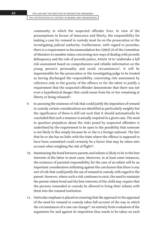community in which the suspected offender lives. In view of the presumptions in favour of innocence and liberty, the responsibility for making a case for remand in custody must lie on the prosecution or the investigating judicial authority. Furthermore, with regard to juveniles, there is a requirement in Recommendation Rec (2003) 20 of the Committee of Ministers to member states concerning new ways of dealing with juvenile delinquency and the role of juvenile justice, Article 18 to 'undertake a full risk assessment based on comprehensive and reliable information on the young person's personality and social circumstances'. It will be impermissible for the prosecution or the investigating judge to be treated as having discharged the responsibility concerning risk assessment by reference only to the gravity of the offence or for the latter to justify a requirement that the suspected offender demonstrate that there was not even a hypothetical danger that could ensue from his or her remaining at liberty or being released $^{\scriptscriptstyle 1\!2}$ .

- 9. In assessing the existence of risk that could justify the imposition of remand in custody certain considerations are identified as particularly weighty but the significance of these is still not such that it should automatically be concluded that such a measure is actually required in a given case. The need to question prejudices about the risks posed by suspected offenders is underlined by the requirement to be open to the possibility that someone is not likely to flee simply because he or she is a foreign national. The fact that he or she has no links with the State where the offence is supposed to have been committed could certainly be a factor that may be taken into account when weighing the risk of flight $^{\underline{\textup{13}}}.$
- 10. Maintaining the bond between parents and infants is likely to be in the best interests of the latter in most cases. Moreover, in at least some instances, the existence of parental responsibility for the care of an infant will be an important consideration militating against the conclusion that there is any sort of risk that could justify the use of remand in custody with regard to the parent. However, where such a risk continues to exist, the need to maintain the parent-infant bond and the best interests of the child may require that the persons remanded in custody be allowed to bring their infants with them into the remand institution.
- 11. Particular emphasis is placed on ensuring that the approach to the appraisal of the need for remand in custody takes full account of the way in which the circumstances of a case can change $^{\underline{\textup{14}}}$ . An entirely fresh evaluation of the arguments for and against its imposition thus needs to be taken on each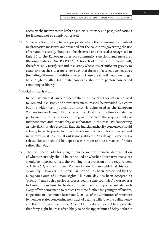occasion the matter comes before a judicial authority and past justifications for it should not be simply reiterated.

12. Some sanction is likely to be appropriate where the requirements involved in alternative measures are breached but the conditions governing the use of remand in custody should still be observed and this is also recognised in Rule 10 of the European rules on community sanctions and measures (Recommendation No. R (92) 16). A breach of those requirements will, therefore, only justify remand in custody where it is of sufficient gravity to establish that the situation is now such that the use of alternative measures (including different or additional ones to those breached) would no longer be enough to allay legitimate concerns about the person concerned remaining at liberty.

#### **Judicial authorisation**

- 13. In most instances it can be expected that the judicial authorisation required for remand in custody and alternative measures will be provided by a court but the wider term 'judicial authority' is being used as the European Convention on Human Rights recognises that the function can also be performed by other officers so long as they meet the requirements of independence and impartiality as elaborated in the case law concerning Article 6(1). It is also essential that the judicial authority concerned should actually have the power to order the release of a person for whom remand in custody (or its continuation) is not justified<sup>15</sup>. Any delay in executing a release decision should be kept to a minimum and be a matter of hours rather than days<del>16</del>.
- 14. The specification of a forty-eight hour period for the initial determination of whether custody should be continued or whether alternative measures should be imposed reflects the evolving interpretation of the requirement of Article 5(3) of the European Convention on Human Rights that this occur 'promptly'. However, no particular period has been prescribed by the European Court of Human Rights<sup>17</sup> but one day has been accepted as 'prompt' $^{\underline{\textup{18}}}$  and such a period is prescribed in some countries $^{\underline{\textup{19}}}$ . Moreover a forty-eight hour limit to the detention of juveniles in police custody, with every effort being made to reduce this time further for younger offenders, is specified in Recommendation Rec (2003) 20 of the Committee of Ministers to member states concerning new ways of dealing with juvenile delinquency and the role of juvenile justice, Article 15. It is also important to appreciate that forty-eight hours is often likely to be the upper limit of delay before it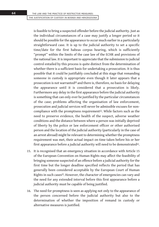is feasible to bring a suspected offender before the judicial authority. Just as the individual circumstances of a case may justify a longer period so it should be possible for the appearance to occur much earlier in a particularly straightforward case. It is up to the judicial authority to set a specific time/date for the first habeas corpus hearing, which is sufficiently "prompt" within the limits of the case law of the ECHR and provisions of the national law. It is important to appreciate that the submission to judicial control entailed by this process is quite distinct from the determination of whether there is a sufficient basis for undertaking a prosecution. It is thus possible that it could be justifiably concluded at this stage that remanding someone in custody is appropriate even though it later appears that a prosecution is not warranted $20$  and there is, therefore, no basis for delaying the appearance until it is considered that a prosecution is likely. Furthermore any delay in the first appearance before the judicial authority is something that can only ever be justified by the particular circumstances of the case; problems affecting the organisation of law enforcement, prosecution and judicial services will never be admissible excuses for noncompliance with the promptness requirement $^{21}$ . While factors such as the need to preserve evidence, the health of the suspect, adverse weather conditions and the distance between where a person was initially deprived of liberty by the police or law enforcement officer or other authorised person and the location of the judicial authority (particularly in the case of an arrest abroad) might be relevant to determining whether the promptness requirement was met, their actual impact on time taken before his or her first appearance before a judicial authority will need to be demonstrated $^{\underline{22}}.$ 

- 15. It is recognised that an emergency situation in accordance with Article 15 of the European Convention on Human Rights may affect the feasibility of bringing someone suspected of an offence before a judicial authority for the first time but the longer deadline specified reflects the period that has generally been considered acceptable by the European Court of Human Rights in such cases $^{\underline{23}}$ . However, the character of emergencies can vary and the need for any extended interval before this first appearance before a judicial authority must be capable of being justified.
- 16. The need for promptness is seen as applying not only to the appearance of the person concerned before the judicial authority but also to the determination of whether the imposition of remand in custody or alternative measures is justified.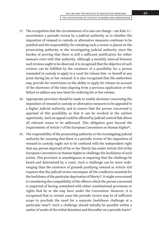- 17. The recognition that the circumstances of a case can change see Rule 11 necessitates a periodic review by a judicial authority as to whether the imposition of remand in custody or alternative measures continues to be justified and the responsibility for initiating such a review is placed on the prosecuting authority or the investigating judicial authority since the burden of proving that there is still a sufficient justification for either measure rests with that authority. Although a monthly interval between such reviews ought to be observed, it is recognised that the objective of such reviews can be fulfilled by the existence of a possibility for a person remanded in custody to apply to a court for release him- or herself at any point during his or her remand. It is also recognised that the authorities may provide for restrictions on the ability to apply for release on account of the shortness of the time elapsing from a previous application or the failure to adduce any new basis for ordering his or her release.
- 18. Appropriate provision should be made to enable decisions concerning the imposition of remand in custody or alternative measures to be appealed to a higher judicial authority and to ensure that the person concerned is apprised of this possibility so that it can be invoked at the earliest opportunity. Such an appeal could be effected by judicial control that allows all relevant issues to be addressed. This obligation goes beyond the requirements of Article 5 of the European Convention on Human Rights<del>24</del>.
- 19. The responsibility of the prosecuting authority or the investigating judicial authority for ensuring that there is a periodic review of the imposition of remand in custody ought not to be confused with the independent right that any person deprived of his or her liberty has under Article 5(4) of the European Convention on Human Rights to challenge the lawfulness of such action. This provision is unambiguous in requiring that the challenge be heard and determined by a court. Such a challenge can be more wideranging than the existence of grounds justifying remand as Article 5(4) requires that the judicial review encompass all the conditions essential for the lawfulness of the particular deprivation of liberty $^{\underline{25}}$ . It might even extend to considering the compatibility of the offence which the person concerned is suspected of having committed with either constitutional provisions or rights that he or she may have under the Convention. However, it is recognised that in certain cases the periodic review may be of sufficient scope to preclude the need for a separate lawfulness challenge at a particular time $^{\underline{26}}$ . Such a challenge should initially be possible within a matter of weeks of the initial detention and thereafter on a periodic basis $^{\underline{27}}$ .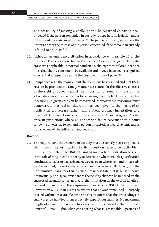The possibility of making a challenge will be regarded as having been impeded if the person remanded in custody is kept in total isolation and is not allowed the assistance of a lawyer $^{\underline{28}}.$  The judicial authority must have the power to order the release of the person concerned if the remand in custody is found to be unlawful 29 .

- 20. Although an emergency situation in accordance with Article 15 of the European Convention on Human Rights permits some derogation from the standards applicable in normal conditions, the rights stipulated here are ones that should continue to be available and indeed have been recognised as essential safeguards against the possible misuse of power $^{\underline{30}}$ .
- 21. Compliance with the requirement that decisions be reasoned and that these reasons be provided in a timely manner is essential for the effective exercise of the right of appeal against the imposition of remand in custody or alternative measures, as well as for ensuring that the legitimacy of such a measure in a given case can be recognised. Moreover the reasoning must demonstrate that real consideration has been given to the merits of an application for release rather than embody a ritual incantation of a formula $^{\underline{31}}$ . The exceptional circumstances referred to in paragraph 2 could arise in juridictions where an application for release made to a court following a decision to remand a person in custody is heard *ab initio* and is not a review of the initial remand decision.

#### **Duration**

22. The requirement that remand in custody must be strictly necessary means that if any of the justifications for its imposition cease to be applicable it must be terminated – see Rule 11 - unless some other justification arises. It isthe role of the judicial authority to determine whether such a justification continues to exist or has arisen. However, even where remand in custody can be justified, the seriousness of such an interference with liberty and the non-punitive character of such a measure necessitate that its length should not normally be disproportionate to the penalty that can be imposed on the suspected offender concerned. A further limitation on the overall length of remand in custody is the requirement in Article 5(3) of the European Convention on Human Rights to ensure that anyone remanded in custody is tried within a reasonable time and this requires that the proceedings in such cases be handled in an especially expeditious manner. No maximum length of remand in custody has ever been prescribed by the European Court of Human Rights when considering what is 'reasonable' - periods of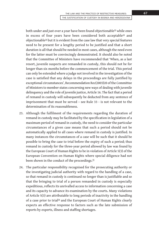both under and just over a year have been found objectionable<sup>32</sup> while ones in excess of four years have been considered both acceptable<sup>33</sup> and objectionable $34$  but it is evident from the case law that very special features need to be present for a lengthy period to be justified and that a short duration is all that should be needed in most cases, although the need even for the latter must be convincingly demonstrated. It should also be noted that the Committee of Ministers have recommended that 'When, as a last resort, juvenile suspects are remanded in custody, this should not be for longer than six months before the commencement of the trial. This period can only be extended where a judge not involved in the investigation of the case is satisfied that any delays in the proceedings are fully justified by exceptional circumstances', Recommendation Rec(2003)20 of the Committee of Ministers to member states concerning new ways of dealing with juvenile delinquency and the role of juvenile justice, Article 16. The fact that a period of remand in custody will subsequently be deducted from any sentence of imprisonment that must be served – see Rule 33 - is not relevant to the determination of its reasonableness.

- 23. Although the fulfilment of the requirements regarding the duration of remand in custody may be facilitated by the specification in legislation of a maximum period of remand in custody, the need to consider the particular circumstances of a given case means that such a period should not be automatically applied to all cases where remand in custody is justified. In many instances the circumstances of a case will be such that it should be possible to bring the case to trial before the expiry of such a period; thus remand in custody for the three-year period allowed by law was found by the European Court of Human Rights to be in violation of Article 5(3) of the European Convention on Human Rights where special diligence had not been shown in the conduct of the proceedings. 35
- 24. The particular responsibility recognised for the prosecuting authority or the investigating judicial authority with regard to the handling of a case, so that remand in custody is continued no longer than is justifiable and so that the bringing to trial of a person remanded in custody is especially expeditious, reflects its unrivalled access to information concerning a case and its capacity to advance its examination by the courts**.** Many violations of Article 5(3) are attributable to long periods of inactivity in the handling of a case prior to trial<sup>36</sup> and the European Court of Human Rights clearly expects an effective response to factors such as the late submission of reports by experts, illness and staffing shortages.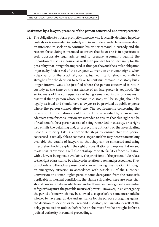#### **Assistance by a lawyer, presence of the person concerned and interpretation**

25. The obligation to inform promptly someone who is actually detained in police custody or is remanded in custody and in an understandable language about an intention to seek or to continue his or her remand in custody and the reasons for so doing is intended to ensure that he or she is in a position to seek appropriate legal advice and to prepare arguments against the imposition of such a measure, as well as to prepare his or her family for the possibility that it might be imposed. It thus goes beyond the similar obligation imposed by Article 5(2) of the European Convention on Human Rights when a deprivation of liberty actually occurs. Such notification should normally be straight after the decision to seek or to continue remand in custody but a longer interval would be justified where the person concerned is not in custody at the time or the assistance of an interpreter is required. The seriousness of the consequences of being remanded in custody makes it essential that a person whose remand in custody will be sought, should be legally assisted and should have a lawyer to be provided at public expense where the person cannot afford one. The requirements concerning the provision of information about the right to be assisted by a lawyer and adequate time for consultation are intended to ensure that this right can be of real benefit for a person at risk of being remanded in custody. This right also entails the detaining and/or prosecuting authority or the investigating judicial authority taking appropriate steps to ensure that the person concerned is actually able to contact a lawyer and this may necessitate making available the details of lawyers so that they can be contacted and using interpreters both to explain the right of consultation and representation and to assist in its exercise. It will also entail appropriate facilities for consultation with a lawyer being made available. The provisions of the present Rule relate to the right of assistance by a lawyer in relation to remand proceedings. They do not relate to the actual presence of a lawyer during investigation. Although an emergency situation in accordance with Article 15 of the European Convention on Human Rights permits some derogation from the standards applicable in normal conditions, the rights stipulated here are ones that should continue to be available and indeed have been recognised as essential safeguards against the possible misuse of power<sup>37</sup>. However, in an emergency the period of time which may be allowed to elapse before someone should be allowed to have legal advice and assistance for the purpose of arguing against the decision to seek his or her remand in custody will inevitably reflect the delay permitted in Rule 20 before he or she must first be brought before a judicial authority in remand proceedings.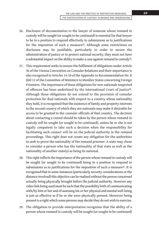- 26. Disclosure of documentation to the lawyer of someone whose remand in custody will be sought (or sought to be continued) is essential for that lawyer to be in a position to respond effectively to submissions as to justifications for the imposition of such a measure $^{\underline{38}}$ . Although some restrictions on disclosure may be justifiable, particularly in order to secure the administration of justice or to protect national security, they must not have a substantial impact on the ability to make a case against remand in custody $^{\underline{39}}$ .
- 27. This requirement seeks to ensure the fulfilment of obligations under Article 36 of the Vienna Convention on Consular Relations and their importance is also recognised in Articles 14-18 of the Appendix to Recommendation No. R (84) 12 of the Committee of Ministers to Member States concerning Foreign Prisoners. The importance of these obligations for non-nationals suspected of offences has been underlined by the International Court of Justice $^{\underline{40}}$ . Although those obligations do not extend to the provision of consular protection for dual nationals with respect to a country whose nationality they hold, it is recognised that the existence of family and property interests in the second country of which they are nationals may make it desirable for access to be granted to the consular officials of that country. The decision about contacting a consul should be taken by the person whose remand in custody will be sought (or sought to be continued), unless he or she is not legally competent to take such a decision when the responsibility for facilitating such contact will lie on the judicial authority in the remand proceedings. This right does not create any obligation for the authorities to seek to prove the nationality of the remand prisoner. A state may chose to consider a person who has the nationality of that state as well as the nationality of another state(s) as being its national.
- 28. This right reflects the importance of the person whose remand in custody will be sought (or sought to be continued) being in a position to respond to submissions as to justifications for the imposition of such a measure $^{\underline{41}}$ . It is recognised that in some instances (particularly security considerations or the distance involved) this objective can be realised without the person concerned actually being physically brought before the judicial authority. However any video link being used must be such that the possibility both of communicating with/by him or her and of assessing his or her physical and mental well-being is just as effective as if he or she were physically present. Moreover being present is a right which some persons may decide they do not wish to exercise.
- 29. The obligation to provide interpretation recognises that the ability of a person whose remand in custody will be sought (or sought to be continued)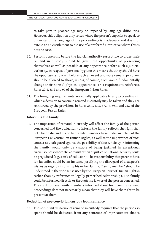to take part in proceedings may be impeded by language difficulties. However, this obligation only arises where the person's capacity to speak or understand the language of the proceedings is inadequate and does not extend to an entitlement to the use of a preferred alternative where this is not the case.

- 30. Persons appearing before the judicial authority susceptible to order their remand in custody should be given the opportunity of presenting themselves as well as possible at any appearance before such a judicial authority. In respect of personal hygiene this means that they should have the opportunity to wash before such an event and male remand prisoners should be allowed to shave, unless, of course, such would fundamentally change their normal physical appearance. This requirement reinforces Rules 20.4, 68.2 and 97 of the European Prison Rules.
- 31. The foregoing requirements are equally applicable to any proceedings in which a decision to continue remand in custody may be taken and they are reinforced by the provisions in Rules 23.1, 23.2, 37.1-4, 98.1 and 98.2 of the European Prison Rules.

#### **Informing the family**

32. The imposition of remand in custody will affect the family of the person concerned and the obligation to inform the family reflects the right that both he or she and his or her family members have under Article 8 of the European Convention on Human Rights, as well as the importance of such contact as a safeguard against the possibility of abuse. A delay in informing the family would only be capable of being justified in exceptional circumstances where the administration of justice or national security could be prejudiced (e.g. a risk of collusion). The responsibility that parents have for juveniles could be an instance justifying the disregard of a suspect's wishes as regards informing his or her family. 'Family member' should be understood in the wide sense used by the European Court of Human Rights $42$ rather than by reference to legally prescribed relationships. The family could be informed directly or through the lawyer of the person concerned. The right to have family members informed about forthcoming remand proceedings does not necessarily mean that they will have the right to be present at them.

#### **Deduction of pre-conviction custody from sentence**

33. The non-punitive nature of remand in custody requires that the periods so spent should be deducted from any sentence of imprisonment that is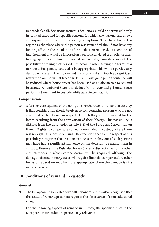imposed: if at all, deviations from this deduction should be permissible only in isolated cases and for specific reasons, for which the national law allows corresponding discretion in creating exceptions. The character of the regime in the place where the person was remanded should not have any limiting effect in the calculation of the deduction required. As a sentence of imprisonment may not be imposed on a person convicted of an offence after having spent some time remanded in custody, consideration of the possibility of taking that period into account when setting the terms of a non-custodial penalty could also be appropriate. This will be particularly desirable for alternatives to remand in custody that still involve a significant restriction on individual freedom. Thus in Portugal a prison sentence will be reduced where house arrest has been used as an alternative to remand in custody. A number of States also deduct from an eventual prison sentence periods of time spent in custody while awaiting extradition.

# **Compensation**

34. A further consequence of the non-punitive character of remand in custody is that consideration should be given to compensating persons who are not convicted of the offence in respect of which they were remanded for the losses resulting from the deprivation of their liberty. This possibility is distinct from the duty under Article 5(5) of the European Convention on Human Rights to compensate someone remanded in custody where there was no legal basis for the remand. The exception specified in respect of this possibility recognises that in some instances the behaviour of such persons may have had a significant influence on the decision to remand them in custody. However, the Rule also leaves States a discretion as to the other circumstances in which compensation will be required. Although the damage suffered in many cases will require financial compensation, other forms of reparation may be more appropriate where the damage is of a moral character.

# **III. Conditions of remand in custody**

# **General**

35. The European Prison Rules cover all prisoners but it is also recognised that the status of remand prisoners requires the observance of some additional rules.

For the following aspects of remand in custody, the specified rules in the European Prison Rules are particularly relevant: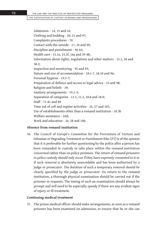Admission – 14, 15 and 16; Clothing and bedding - 20, 21 and 97; Complaints procedures - 70 Contact with the outside - 17, 24 and 99; Discipline and punishment - 56-62; Health care - 15.1e, 15.1f, 16a and 39-48; Information about rights, regulations and other matters - 15.2, 30 and 38.3; Inspection and monitoring - 92 and 93; Nature and size of accommodation - 18.1-7, 18.10 and 96; Personal hygiene - 19.3-7; Preparation of defence and access to legal advice - 23 and 98; Religion and beliefs - 29; Sanitary arrangements - 19.1-3; Separation of categories - 11.1, 11.2, 18.8 and 18.9; Staff - 71-81 and 89 Time out of cell and regime activities - 25, 27 and 101; Use of establishments other than a remand institution - 10.3b Welfare assistance - 16d; Work and education - 26, 28 and 100.

# **Absence from remand institution**

36. The Council of Europe's Committee for the Prevention of Torture and Inhuman or Degrading Treatment or Punishment (the CPT) is of the opinion that it is preferable for further questioning by the police after a person has been remanded in custody to take place within the remand institution concerned rather than on police premises. The return of remand prisoners to police custody should only occur if they have expressly consented to it or if such removal is absolutely unavoidable and has been authorised by a judge or prosecutor. The duration of such a temporary removal should be clearly specified by the judge or prosecutor. On return to the remand institution, a thorough physical examination should be carried out if the prisoner so requests. The timing of such an examination should always be prompt and will need to be especially speedy if there are any evident signs of injury or ill treatment.

# **Continuing medical treatment**

37. The prison medical officer should make arrangements, as soon as a remand prisoner has been examined on admission, to ensure that he or she can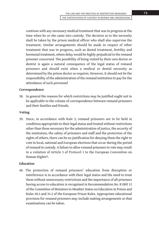continue with any necessary medical treatment that was in progress at the time when he or she came into custody. The decision as to the necessity shall be taken by the prison medical officer who shall also supervise the treatment. Similar arrangements should be made in respect of other treatment that was in progress**,** such as dental treatment, fertility and hormonal treatment, where delay would be highly prejudicial to the remand prisoner concerned. The possibility of being visited by their own doctor or dentist is again a natural consequence of the legal status of remand prisoners and should exist when a medical or dental necessity as determined by the prison doctor so requires. However, it should not be the responsibility of the administration of the remand institution to pay for the attendance of such personnel

# **Correspondence**

38. In general the reasons for which restrictions may be justified ought not to be applicable to the volume of correspondence between remand prisoners and their families and friends.

### **Voting**

39. Since, in accordance with Rule 3, remand prisoners are to be held in conditions appropriate to their legal status and treated without restrictions other than those necessary for the administration of justice, the security of the institution, the safety of prisoners and staff and the protection of the rights of others, there can be no justification for denying them the right to vote in local, national and European elections that occur during the period of remand in custody. A failure to allow remand prisonersto vote may result in a violation of Article 3 of Protocol 1 to the European Convention on Human Rights*<sup>43</sup>* .

# **Education**

40. The protection of remand prisoners' education from disruption or interference is in accordance with their legal status and the need to treat them without unnecessary restrictions and the importance of all prisoners having access to education is recognised in Recommendation No. R (89) 12 of the Committee of Ministers to Member States on Education in Prison and Rules 28.3 and 35.2 of the European Prison Rules. Appropriate educational provision for remand prisoners may include making arrangements so that examinations can be taken.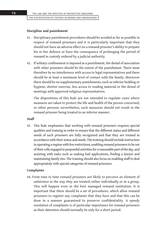## **Discipline and punishment**

- 41. Disciplinary punishment procedures should be avoided as far as possible in respect of remand prisoners and it is particularly important that they should not have an adverse effect on a remand prisoner's ability to prepare his or her defence or have the consequence of prolonging the period of remand in custody ordered by a judicial authority.
- 42. Ifsolitary confinement isimposed as a punishment, the denial of association with other prisoners should be the extent of the punishment. There must therefore be no interference with access to legal representatives and there should be at least a minimum level of contact with the family. Moreover there should be no supplementary punishments, such as inferior bedding or hygiene, shorter exercise, less access to reading material or the denial of meetings with approved religious representatives.

The dispositions of this Rule are not intended to regulate cases where measures are taken to protect the life and health of the person concerned, or other persons; nevertheless, such measures should not result in the remand prisoner being treated in an inferior manner.

# **Staff**

43. This Rule emphasises that working with remand prisoners requires special qualities and training in order to ensure that the different status and different needs of such prisoners are fully recognised and that they are treated in accordance with their status and needs. The training should include instruction in operating a regime with few restrictions, enabling remand prisoners to be out of their cells engaged in purposeful activities for a reasonable part of the day, and assisting with tasks such as making bail applications, finding a lawyer and maintaining family ties. The training should also focus on enabling staffto deal appropriately with special categories of remand prisoners.

#### **Complaints**

44. From time to time remand prisoners are likely to perceive an element of unfairness in the way they are treated, either individually or as a group. This will happen even in the best managed remand institution. It is important that there should be a set of procedures, which allow remand prisoners to register any complaints that they have and that this can be done in a manner guaranteed to preserve confidentiality. A speedy resolution of complaints is of particular importance for remand prisoners as their detention should normally be only for a short period.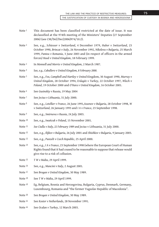- Note  $1$  This document has been classified restricted at the date of issue. It was declassified at the 974th meeting of the Ministers' Deputies (27 September 2006) (see CM/Del/Dec(2006)974/10.2).
- Note <sup>2</sup> See, e.g., *Schiesser v Switzerland*, 4 December 1979, *Huber v Switzerland*, 23 October 1990, *Brincat v Italy*, 26 November 1992, *Nikolova v Bulgaria*, 25 March 1999, *Pantea v Romania*, 3 June 2003 and (in respect of officers in the armed forces*) Hood v United Kingdom*, 18 February 1999*.*
- Note <sup>3</sup> In *Monnell and Morris v United Kingdom*, 2 March 1987.
- Note <sup>4</sup> S*ee, e.g., Caballero v United Kingdom, 8 February 2000.*
- Note <sup>5</sup> See, e.g., *Fox, Campbell and Hartley v United K*ingdom, 30 August 1990, *Murray v United Kingdom*, 28 October 1994, *Erdagöz v Turkey*, 22 October 1997, *Wloch v Poland*, 19 October 2000 and *O'Hara v United Kingdom*, 16 October 2001.
- Note<sup>6</sup> See *Gusinskiy v Russia*, 19 May 2004
- Note <sup>7</sup> See *Jecius v Lithuania*, 31 July 2000.
- Note <sup>8</sup> See, e.g., *Letellier v France*, 26 June 1991,*Assenov v Bulgaria*, 28 October 1998, *W v Switzerland*, 26 January 1993 and *I A v France*, 23 September 1998.
- Note <sup>9</sup> See, e.g., *Smirnova v Russia*, 24 July 2003.
- Note <sup>10</sup> See, e.g., *Iwańcuk v Poland*, 15 November 2001.
- Note <sup>11</sup> *See Ciulla v Italy, 22 February 1989 and Jecius* v Lithuania, 31 July 2000.
- Note <sup>12</sup> See, e.g., *Ilijkov v Bulgaria*, 26 July 2001 and *Shishkov v Bulgaria*, 9 January 2003.
- Note <sup>13</sup> See, e.g., *Punzelt v Czech Republic*, 25 April 2000.
- Note <sup>14</sup> See, e.g., *I A v France*, 23 September 1998 (where the European Court of Human Rights found that it had ceased to be reasonable to suppose that release would give rise to a risk of collusion.
- Note <sup>15</sup> *T W v Malta*, 29 April 1999.
- Note  $\frac{16}{ }$  See, e.g., *Mancini v Italy*, 2 August 2001.
- Note <sup>17</sup> See *Brogan v United Kingdom*, 30 May 1989.
- Note <sup>18</sup> See *T W v Malta*, 29 April 1999.
- Note <sup>19</sup> Eg, Belgium, Bosnia and Herzegovina, Bulgaria, Cyprus, Denmark, Germany, Luxembourg, Romania and "the former Yugsolav Republic of Macedonia".
- Note <sup>20</sup> See *Brogan v United Kingdom*, 30 May 1989.
- Note <sup>21</sup> See *Koster v Netherlands*, 28 November 1991.
- Note <sup>22</sup> See *Ocalan v Turkey*, 12 March 2003.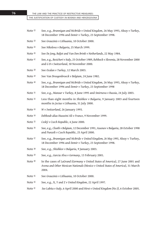- Note <sup>23</sup> See, e.g., *Brannigan and McBride v United Kingdom*, 26 May 1993, *Aksoy v Turkey*, 18 December 1996 and *Demir v Turkey*, 23 September 1998.
- Note <sup>24</sup> See *Grauzinis v Lithuania*, 10 October 2000.
- Note <sup>25</sup> See *Nikolova v Bulgaria*, 25 March 1999.
- Note <sup>26</sup> See *De Jong, Baljet and Van Den Brink v Netherlands*, 22 May 1984.
- Note <sup>27</sup> See, e.g., *Bezicheri v Italy*, 25 October 1989, *Rehbock v Slovenia*, 28 November 2000 and *G B v Switzerland*, 30 November 2000*.*
- Note <sup>28</sup> See *Ocalan v Turkey*, 12 March 2003.
- Note <sup>29</sup> See *Van Droogenbroeck v Belgium*, 24 June 1982.
- Note <sup>30</sup> See, e.g., *Brannigan and McBride v United Kingdom*, 26 May 1993, *Aksoy v Turkey*, 18 December 1996 and *Demir v Turkey*, 23 September 1998
- Note <sup>31</sup> See, e.g., *Mansur v Turkey*, 8 June 1995 and *Smirnova v Russia*, 24 July 2003.
- Note <sup>32</sup> Less than eight months in *Shishkov v Bulgaria*, 9 January 2003 and fourteen months in *Jecius v Lithuania*, 31 July 2000.
- Note <sup>33</sup> *W v Switzerland*, 26 January 1993*.*
- Note <sup>34</sup> *Debboub alias Husseini Ali v France*, 9 November 1999.
- Note <sup>35</sup> *Ceský v Czech Republic*, 6 June 2000.
- Note <sup>36</sup> See, e.g., *Clooth v Belgium*, 12 December 1991, *Assenov v Bulgaria*, 28 October 1998 and *Punzelt v Czech Republic*, 25 April 2000.
- Note <sup>37</sup> See, e.g., *Brannigan and McBride v United Kingdom, 26 May 1993, Aksoy* v Turkey, 18 December 1996 and *Demir v Turkey*, 23 September 1998.
- Note <sup>38</sup> See, e.g., *Shishkov v Bulgaria*, 9 January 2003.
- Note <sup>39</sup> See, e.g., *Garcia Alva v Germany*, 13 February 2001.
- Note <sup>40</sup> In the cases of *LaGrand (Germany v United States of America)*, 27 June 2001 and *Avena and Other Mexican Nationals (Mexico v United States of America)*, 31 March 2004.
- Note <sup>41</sup> See *Grauzinis v Lithuania*, 10 October 2000.
- Note <sup>42</sup> See, e.g., X*, Y and Z v United Kingdom*, 22 April 1997*.*
- Note *<sup>43</sup> See Labita v Italy*, 6 April 2000 and *Hirst v United Kingdom (No 2)*, 6 October 2005.